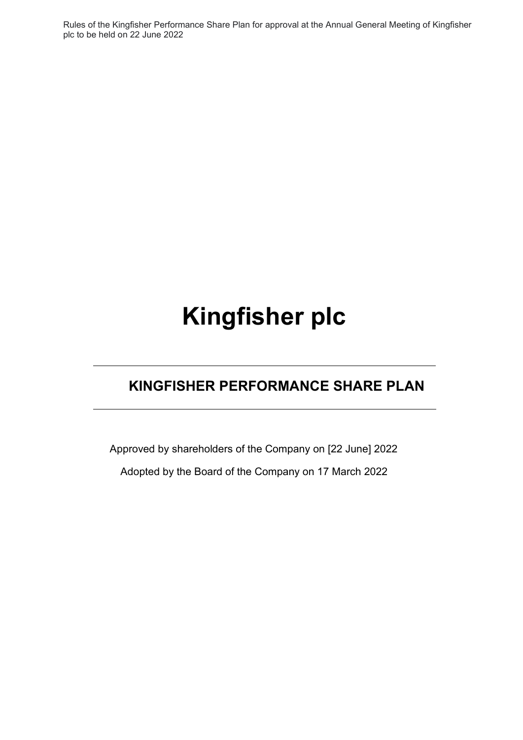Rules of the Kingfisher Performance Share Plan for approval at the Annual General Meeting of Kingfisher plc to be held on 22 June 2022

# **Kingfisher plc**

# **KINGFISHER PERFORMANCE SHARE PLAN**

Approved by shareholders of the Company on [22 June] 2022 Adopted by the Board of the Company on 17 March 2022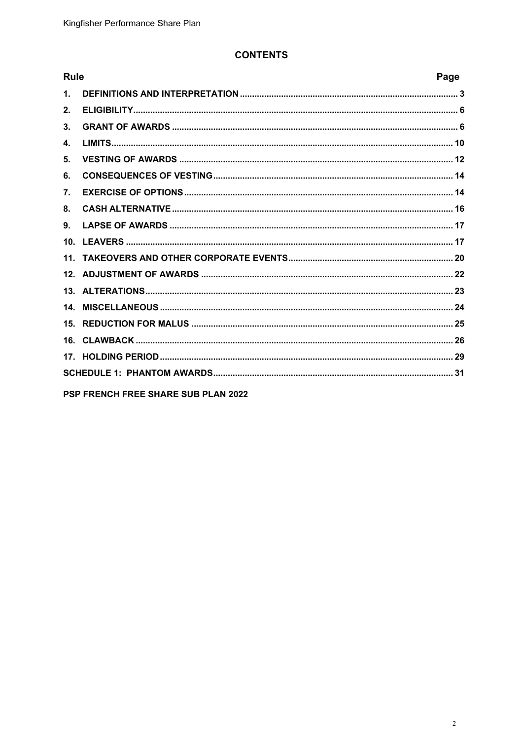## **CONTENTS**

| <b>Rule</b>    |                                            | Page |
|----------------|--------------------------------------------|------|
| $\mathbf{1}$ . |                                            |      |
| 2.             |                                            |      |
| 3.             |                                            |      |
| $\mathbf{4}$   |                                            |      |
| 5.             |                                            |      |
| 6.             |                                            |      |
| 7.             |                                            |      |
| 8.             |                                            |      |
| 9.             |                                            |      |
|                |                                            |      |
|                |                                            |      |
|                |                                            |      |
|                |                                            |      |
|                |                                            |      |
|                |                                            |      |
|                |                                            |      |
|                |                                            |      |
|                |                                            |      |
|                | <b>PSP FRENCH FREE SHARE SUB PLAN 2022</b> |      |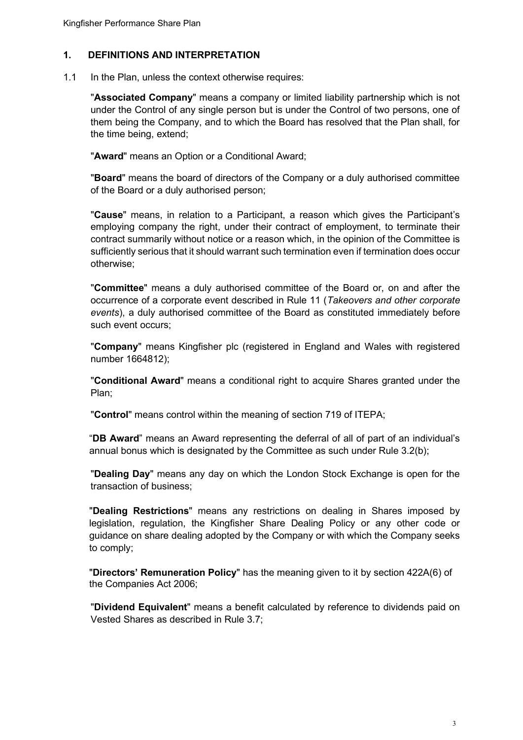## <span id="page-2-0"></span>**1. DEFINITIONS AND INTERPRETATION**

1.1 In the Plan, unless the context otherwise requires:

"**Associated Company**" means a company or limited liability partnership which is not under the Control of any single person but is under the Control of two persons, one of them being the Company, and to which the Board has resolved that the Plan shall, for the time being, extend;

"**Award**" means an Option or a Conditional Award;

"**Board**" means the board of directors of the Company or a duly authorised committee of the Board or a duly authorised person;

"**Cause**" means, in relation to a Participant, a reason which gives the Participant's employing company the right, under their contract of employment, to terminate their contract summarily without notice or a reason which, in the opinion of the Committee is sufficiently serious that it should warrant such termination even if termination does occur otherwise;

"**Committee**" means a duly authorised committee of the Board or, on and after the occurrence of a corporate event described in Rule 11 (*Takeovers and other corporate events*), a duly authorised committee of the Board as constituted immediately before such event occurs;

"**Company**" means Kingfisher plc (registered in England and Wales with registered number 1664812);

"**Conditional Award**" means a conditional right to acquire Shares granted under the Plan;

"**Control**" means control within the meaning of section 719 of ITEPA;

"**DB Award**" means an Award representing the deferral of all of part of an individual's annual bonus which is designated by the Committee as such under Rule 3.2(b);

"**Dealing Day**" means any day on which the London Stock Exchange is open for the transaction of business;

"**Dealing Restrictions**" means any restrictions on dealing in Shares imposed by legislation, regulation, the Kingfisher Share Dealing Policy or any other code or guidance on share dealing adopted by the Company or with which the Company seeks to comply;

"**Directors' Remuneration Policy**" has the meaning given to it by section 422A(6) of the Companies Act 2006;

"**Dividend Equivalent**" means a benefit calculated by reference to dividends paid on Vested Shares as described in Rule 3.7;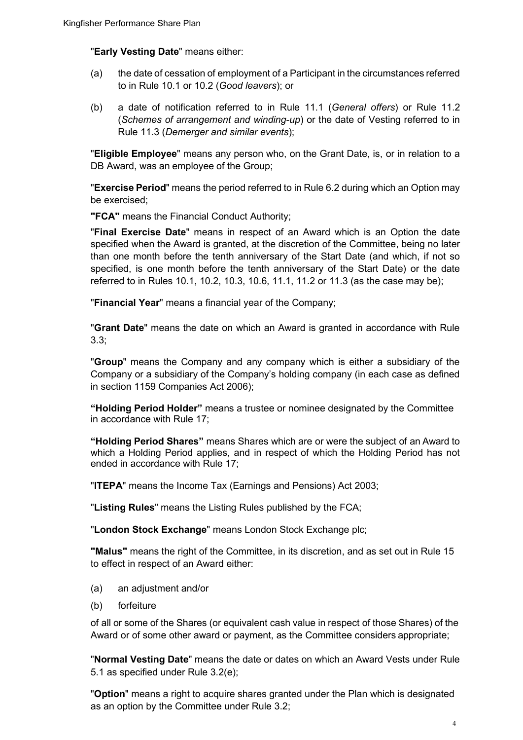#### "**Early Vesting Date**" means either:

- (a) the date of cessation of employment of a Participant in the circumstances referred to in Rule 10.1 or 10.2 (*Good leavers*); or
- (b) a date of notification referred to in Rule 11.1 (*General offers*) or Rule 11.2 (*Schemes of arrangement and winding-up*) or the date of Vesting referred to in Rule 11.3 (*Demerger and similar events*);

"**Eligible Employee**" means any person who, on the Grant Date, is, or in relation to a DB Award, was an employee of the Group;

"**Exercise Period**" means the period referred to in Rule 6.2 during which an Option may be exercised;

**"FCA"** means the Financial Conduct Authority;

"**Final Exercise Date**" means in respect of an Award which is an Option the date specified when the Award is granted, at the discretion of the Committee, being no later than one month before the tenth anniversary of the Start Date (and which, if not so specified, is one month before the tenth anniversary of the Start Date) or the date referred to in Rules 10.1, 10.2, 10.3, 10.6, 11.1, 11.2 or 11.3 (as the case may be);

"**Financial Year**" means a financial year of the Company;

"**Grant Date**" means the date on which an Award is granted in accordance with Rule 3.3;

"**Group**" means the Company and any company which is either a subsidiary of the Company or a subsidiary of the Company's holding company (in each case as defined in section 1159 Companies Act 2006);

**"Holding Period Holder"** means a trustee or nominee designated by the Committee in accordance with Rule 17;

**"Holding Period Shares"** means Shares which are or were the subject of an Award to which a Holding Period applies, and in respect of which the Holding Period has not ended in accordance with Rule 17;

"**ITEPA**" means the Income Tax (Earnings and Pensions) Act 2003;

"**Listing Rules**" means the Listing Rules published by the FCA;

"**London Stock Exchange**" means London Stock Exchange plc;

**"Malus"** means the right of the Committee, in its discretion, and as set out in Rule 15 to effect in respect of an Award either:

- (a) an adjustment and/or
- (b) forfeiture

of all or some of the Shares (or equivalent cash value in respect of those Shares) of the Award or of some other award or payment, as the Committee considers appropriate;

"**Normal Vesting Date**" means the date or dates on which an Award Vests under Rule 5.1 as specified under Rule 3.2(e);

"**Option**" means a right to acquire shares granted under the Plan which is designated as an option by the Committee under Rule 3.2;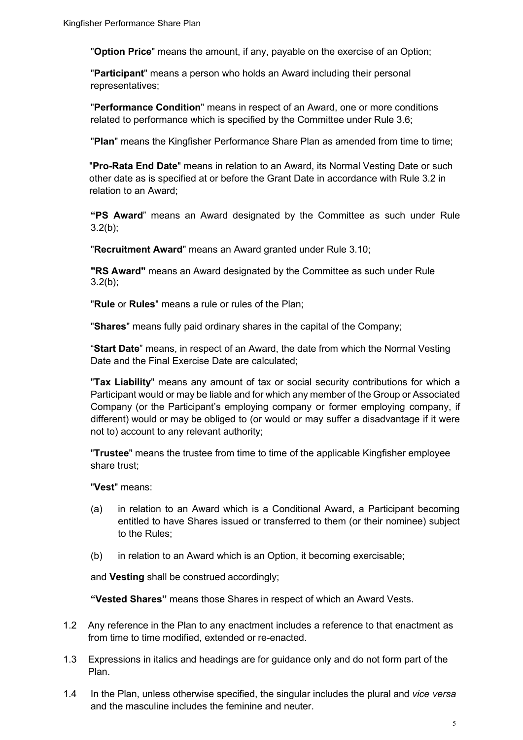"**Option Price**" means the amount, if any, payable on the exercise of an Option;

"**Participant**" means a person who holds an Award including their personal representatives;

"**Performance Condition**" means in respect of an Award, one or more conditions related to performance which is specified by the Committee under Rule 3.6;

"**Plan**" means the Kingfisher Performance Share Plan as amended from time to time;

"**Pro-Rata End Date**" means in relation to an Award, its Normal Vesting Date or such other date as is specified at or before the Grant Date in accordance with Rule 3.2 in relation to an Award;

**"PS Award**" means an Award designated by the Committee as such under Rule  $3.2(b)$ ;

"**Recruitment Award**" means an Award granted under Rule 3.10;

**"RS Award"** means an Award designated by the Committee as such under Rule  $3.2(b)$ ;

"**Rule** or **Rules**" means a rule or rules of the Plan;

"**Shares**" means fully paid ordinary shares in the capital of the Company;

"**Start Date**" means, in respect of an Award, the date from which the Normal Vesting Date and the Final Exercise Date are calculated;

"**Tax Liability**" means any amount of tax or social security contributions for which a Participant would or may be liable and for which any member of the Group or Associated Company (or the Participant's employing company or former employing company, if different) would or may be obliged to (or would or may suffer a disadvantage if it were not to) account to any relevant authority;

"**Trustee**" means the trustee from time to time of the applicable Kingfisher employee share trust;

"**Vest**" means:

- (a) in relation to an Award which is a Conditional Award, a Participant becoming entitled to have Shares issued or transferred to them (or their nominee) subject to the Rules;
- (b) in relation to an Award which is an Option, it becoming exercisable;

and **Vesting** shall be construed accordingly;

**"Vested Shares"** means those Shares in respect of which an Award Vests.

- 1.2 Any reference in the Plan to any enactment includes a reference to that enactment as from time to time modified, extended or re-enacted.
- 1.3 Expressions in italics and headings are for guidance only and do not form part of the Plan.
- 1.4 In the Plan, unless otherwise specified, the singular includes the plural and *vice versa* and the masculine includes the feminine and neuter.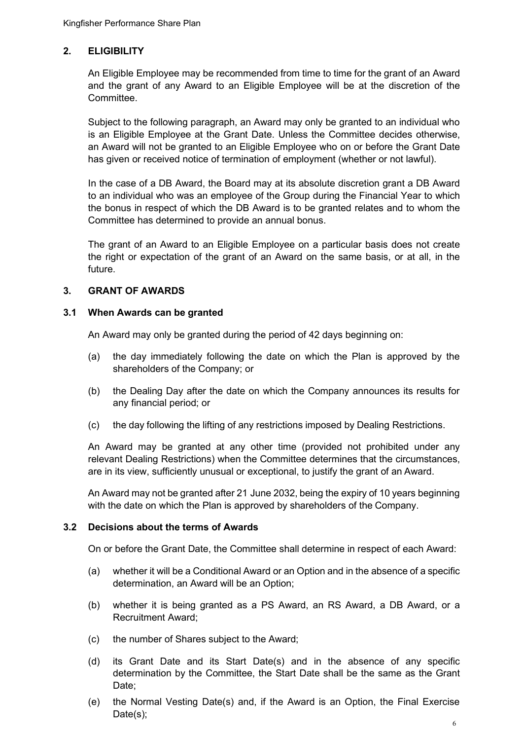## <span id="page-5-0"></span>**2. ELIGIBILITY**

An Eligible Employee may be recommended from time to time for the grant of an Award and the grant of any Award to an Eligible Employee will be at the discretion of the Committee.

Subject to the following paragraph, an Award may only be granted to an individual who is an Eligible Employee at the Grant Date. Unless the Committee decides otherwise, an Award will not be granted to an Eligible Employee who on or before the Grant Date has given or received notice of termination of employment (whether or not lawful).

In the case of a DB Award, the Board may at its absolute discretion grant a DB Award to an individual who was an employee of the Group during the Financial Year to which the bonus in respect of which the DB Award is to be granted relates and to whom the Committee has determined to provide an annual bonus.

The grant of an Award to an Eligible Employee on a particular basis does not create the right or expectation of the grant of an Award on the same basis, or at all, in the future.

#### <span id="page-5-1"></span>**3. GRANT OF AWARDS**

#### **3.1 When Awards can be granted**

An Award may only be granted during the period of 42 days beginning on:

- (a) the day immediately following the date on which the Plan is approved by the shareholders of the Company; or
- (b) the Dealing Day after the date on which the Company announces its results for any financial period; or
- (c) the day following the lifting of any restrictions imposed by Dealing Restrictions.

An Award may be granted at any other time (provided not prohibited under any relevant Dealing Restrictions) when the Committee determines that the circumstances, are in its view, sufficiently unusual or exceptional, to justify the grant of an Award.

An Award may not be granted after 21 June 2032, being the expiry of 10 years beginning with the date on which the Plan is approved by shareholders of the Company.

#### **3.2 Decisions about the terms of Awards**

On or before the Grant Date, the Committee shall determine in respect of each Award:

- (a) whether it will be a Conditional Award or an Option and in the absence of a specific determination, an Award will be an Option;
- (b) whether it is being granted as a PS Award, an RS Award, a DB Award, or a Recruitment Award;
- (c) the number of Shares subject to the Award;
- (d) its Grant Date and its Start Date(s) and in the absence of any specific determination by the Committee, the Start Date shall be the same as the Grant Date;
- (e) the Normal Vesting Date(s) and, if the Award is an Option, the Final Exercise Date(s);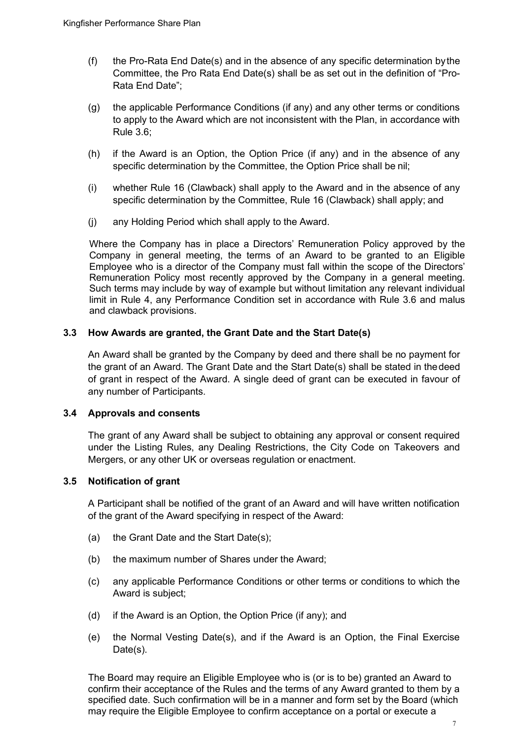- (f) the Pro-Rata End Date(s) and in the absence of any specific determination bythe Committee, the Pro Rata End Date(s) shall be as set out in the definition of "Pro-Rata End Date";
- (g) the applicable Performance Conditions (if any) and any other terms or conditions to apply to the Award which are not inconsistent with the Plan, in accordance with Rule 3.6;
- (h) if the Award is an Option, the Option Price (if any) and in the absence of any specific determination by the Committee, the Option Price shall be nil;
- (i) whether Rule 16 (Clawback) shall apply to the Award and in the absence of any specific determination by the Committee, Rule 16 (Clawback) shall apply; and
- (j) any Holding Period which shall apply to the Award.

Where the Company has in place a Directors' Remuneration Policy approved by the Company in general meeting, the terms of an Award to be granted to an Eligible Employee who is a director of the Company must fall within the scope of the Directors' Remuneration Policy most recently approved by the Company in a general meeting. Such terms may include by way of example but without limitation any relevant individual limit in Rule 4, any Performance Condition set in accordance with Rule 3.6 and malus and clawback provisions.

#### **3.3 How Awards are granted, the Grant Date and the Start Date(s)**

An Award shall be granted by the Company by deed and there shall be no payment for the grant of an Award. The Grant Date and the Start Date(s) shall be stated in thedeed of grant in respect of the Award. A single deed of grant can be executed in favour of any number of Participants.

#### **3.4 Approvals and consents**

The grant of any Award shall be subject to obtaining any approval or consent required under the Listing Rules, any Dealing Restrictions, the City Code on Takeovers and Mergers, or any other UK or overseas regulation or enactment.

#### **3.5 Notification of grant**

A Participant shall be notified of the grant of an Award and will have written notification of the grant of the Award specifying in respect of the Award:

- (a) the Grant Date and the Start Date(s);
- (b) the maximum number of Shares under the Award;
- (c) any applicable Performance Conditions or other terms or conditions to which the Award is subject;
- (d) if the Award is an Option, the Option Price (if any); and
- (e) the Normal Vesting Date(s), and if the Award is an Option, the Final Exercise Date(s).

The Board may require an Eligible Employee who is (or is to be) granted an Award to confirm their acceptance of the Rules and the terms of any Award granted to them by a specified date. Such confirmation will be in a manner and form set by the Board (which may require the Eligible Employee to confirm acceptance on a portal or execute a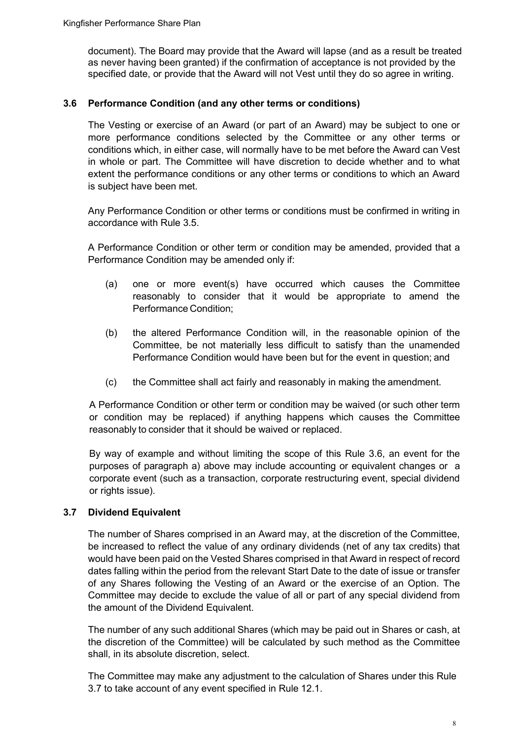document). The Board may provide that the Award will lapse (and as a result be treated as never having been granted) if the confirmation of acceptance is not provided by the specified date, or provide that the Award will not Vest until they do so agree in writing.

## **3.6 Performance Condition (and any other terms or conditions)**

The Vesting or exercise of an Award (or part of an Award) may be subject to one or more performance conditions selected by the Committee or any other terms or conditions which, in either case, will normally have to be met before the Award can Vest in whole or part. The Committee will have discretion to decide whether and to what extent the performance conditions or any other terms or conditions to which an Award is subject have been met.

Any Performance Condition or other terms or conditions must be confirmed in writing in accordance with Rule 3.5.

A Performance Condition or other term or condition may be amended, provided that a Performance Condition may be amended only if:

- (a) one or more event(s) have occurred which causes the Committee reasonably to consider that it would be appropriate to amend the Performance Condition;
- (b) the altered Performance Condition will, in the reasonable opinion of the Committee, be not materially less difficult to satisfy than the unamended Performance Condition would have been but for the event in question; and
- (c) the Committee shall act fairly and reasonably in making the amendment.

A Performance Condition or other term or condition may be waived (or such other term or condition may be replaced) if anything happens which causes the Committee reasonably to consider that it should be waived or replaced.

By way of example and without limiting the scope of this Rule 3.6, an event for the purposes of paragraph a) above may include accounting or equivalent changes or a corporate event (such as a transaction, corporate restructuring event, special dividend or rights issue).

#### **3.7 Dividend Equivalent**

The number of Shares comprised in an Award may, at the discretion of the Committee, be increased to reflect the value of any ordinary dividends (net of any tax credits) that would have been paid on the Vested Shares comprised in that Award in respect of record dates falling within the period from the relevant Start Date to the date of issue or transfer of any Shares following the Vesting of an Award or the exercise of an Option. The Committee may decide to exclude the value of all or part of any special dividend from the amount of the Dividend Equivalent.

The number of any such additional Shares (which may be paid out in Shares or cash, at the discretion of the Committee) will be calculated by such method as the Committee shall, in its absolute discretion, select.

The Committee may make any adjustment to the calculation of Shares under this Rule 3.7 to take account of any event specified in Rule 12.1.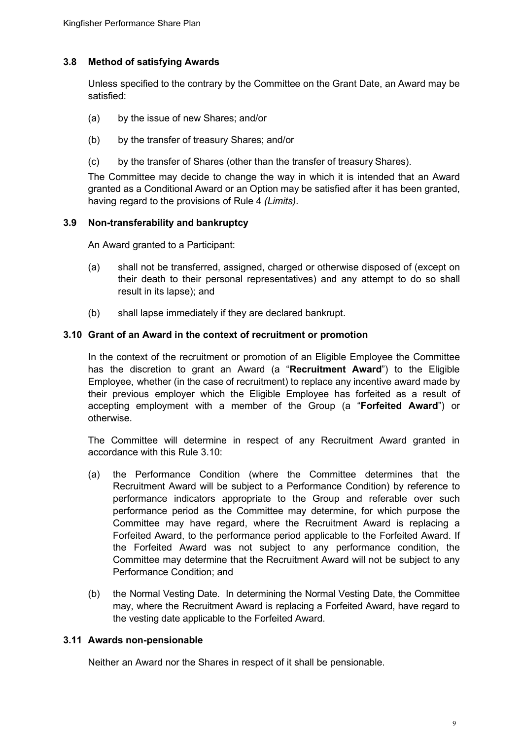## **3.8 Method of satisfying Awards**

Unless specified to the contrary by the Committee on the Grant Date, an Award may be satisfied:

- (a) by the issue of new Shares; and/or
- (b) by the transfer of treasury Shares; and/or
- (c) by the transfer of Shares (other than the transfer of treasury Shares).

The Committee may decide to change the way in which it is intended that an Award granted as a Conditional Award or an Option may be satisfied after it has been granted, having regard to the provisions of Rule 4 *(Limits)*.

#### **3.9 Non-transferability and bankruptcy**

An Award granted to a Participant:

- (a) shall not be transferred, assigned, charged or otherwise disposed of (except on their death to their personal representatives) and any attempt to do so shall result in its lapse); and
- (b) shall lapse immediately if they are declared bankrupt.

#### **3.10 Grant of an Award in the context of recruitment or promotion**

In the context of the recruitment or promotion of an Eligible Employee the Committee has the discretion to grant an Award (a "**Recruitment Award**") to the Eligible Employee, whether (in the case of recruitment) to replace any incentive award made by their previous employer which the Eligible Employee has forfeited as a result of accepting employment with a member of the Group (a "**Forfeited Award**") or otherwise.

The Committee will determine in respect of any Recruitment Award granted in accordance with this Rule 3.10:

- (a) the Performance Condition (where the Committee determines that the Recruitment Award will be subject to a Performance Condition) by reference to performance indicators appropriate to the Group and referable over such performance period as the Committee may determine, for which purpose the Committee may have regard, where the Recruitment Award is replacing a Forfeited Award, to the performance period applicable to the Forfeited Award. If the Forfeited Award was not subject to any performance condition, the Committee may determine that the Recruitment Award will not be subject to any Performance Condition; and
- (b) the Normal Vesting Date. In determining the Normal Vesting Date, the Committee may, where the Recruitment Award is replacing a Forfeited Award, have regard to the vesting date applicable to the Forfeited Award.

#### **3.11 Awards non-pensionable**

Neither an Award nor the Shares in respect of it shall be pensionable.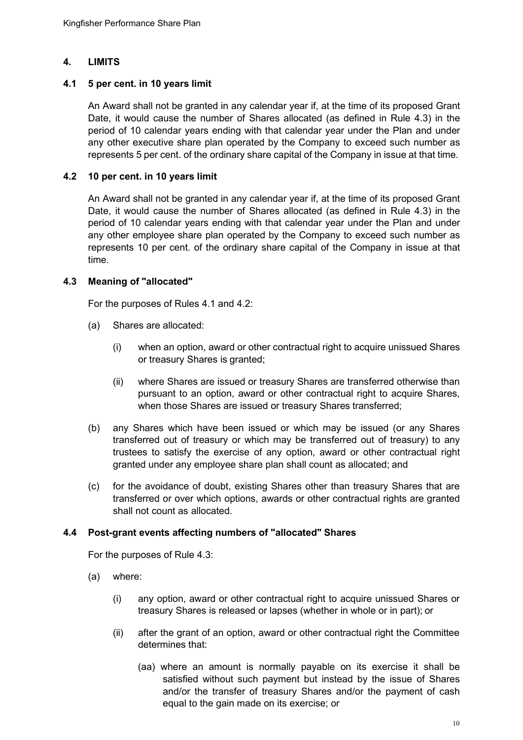## <span id="page-9-0"></span>**4. LIMITS**

#### **4.1 5 per cent. in 10 years limit**

An Award shall not be granted in any calendar year if, at the time of its proposed Grant Date, it would cause the number of Shares allocated (as defined in Rule 4.3) in the period of 10 calendar years ending with that calendar year under the Plan and under any other executive share plan operated by the Company to exceed such number as represents 5 per cent. of the ordinary share capital of the Company in issue at that time.

## **4.2 10 per cent. in 10 years limit**

An Award shall not be granted in any calendar year if, at the time of its proposed Grant Date, it would cause the number of Shares allocated (as defined in Rule 4.3) in the period of 10 calendar years ending with that calendar year under the Plan and under any other employee share plan operated by the Company to exceed such number as represents 10 per cent. of the ordinary share capital of the Company in issue at that time.

## **4.3 Meaning of "allocated"**

For the purposes of Rules 4.1 and 4.2:

- (a) Shares are allocated:
	- (i) when an option, award or other contractual right to acquire unissued Shares or treasury Shares is granted;
	- (ii) where Shares are issued or treasury Shares are transferred otherwise than pursuant to an option, award or other contractual right to acquire Shares, when those Shares are issued or treasury Shares transferred;
- (b) any Shares which have been issued or which may be issued (or any Shares transferred out of treasury or which may be transferred out of treasury) to any trustees to satisfy the exercise of any option, award or other contractual right granted under any employee share plan shall count as allocated; and
- (c) for the avoidance of doubt, existing Shares other than treasury Shares that are transferred or over which options, awards or other contractual rights are granted shall not count as allocated.

#### **4.4 Post-grant events affecting numbers of "allocated" Shares**

For the purposes of Rule 4.3:

- (a) where:
	- (i) any option, award or other contractual right to acquire unissued Shares or treasury Shares is released or lapses (whether in whole or in part); or
	- (ii) after the grant of an option, award or other contractual right the Committee determines that:
		- (aa) where an amount is normally payable on its exercise it shall be satisfied without such payment but instead by the issue of Shares and/or the transfer of treasury Shares and/or the payment of cash equal to the gain made on its exercise; or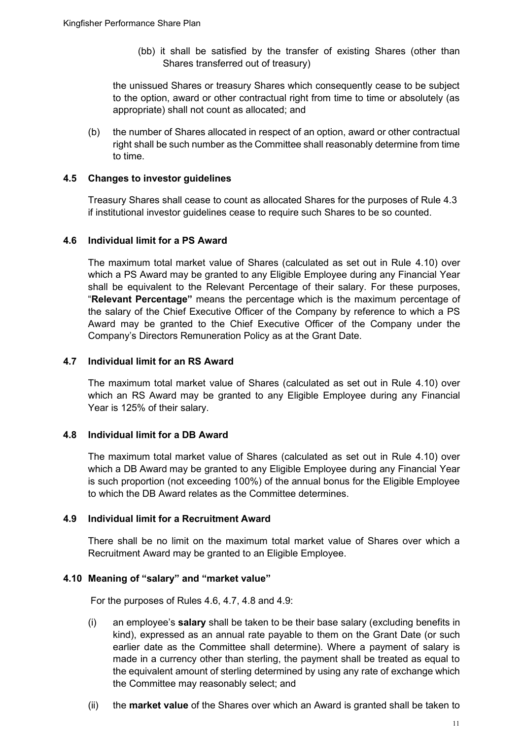(bb) it shall be satisfied by the transfer of existing Shares (other than Shares transferred out of treasury)

the unissued Shares or treasury Shares which consequently cease to be subject to the option, award or other contractual right from time to time or absolutely (as appropriate) shall not count as allocated; and

(b) the number of Shares allocated in respect of an option, award or other contractual right shall be such number as the Committee shall reasonably determine from time to time.

## **4.5 Changes to investor guidelines**

Treasury Shares shall cease to count as allocated Shares for the purposes of Rule 4.3 if institutional investor guidelines cease to require such Shares to be so counted.

## **4.6 Individual limit for a PS Award**

The maximum total market value of Shares (calculated as set out in Rule 4.10) over which a PS Award may be granted to any Eligible Employee during any Financial Year shall be equivalent to the Relevant Percentage of their salary. For these purposes, "**Relevant Percentage"** means the percentage which is the maximum percentage of the salary of the Chief Executive Officer of the Company by reference to which a PS Award may be granted to the Chief Executive Officer of the Company under the Company's Directors Remuneration Policy as at the Grant Date.

## **4.7 Individual limit for an RS Award**

The maximum total market value of Shares (calculated as set out in Rule 4.10) over which an RS Award may be granted to any Eligible Employee during any Financial Year is 125% of their salary.

#### **4.8 Individual limit for a DB Award**

The maximum total market value of Shares (calculated as set out in Rule 4.10) over which a DB Award may be granted to any Eligible Employee during any Financial Year is such proportion (not exceeding 100%) of the annual bonus for the Eligible Employee to which the DB Award relates as the Committee determines.

#### **4.9 Individual limit for a Recruitment Award**

There shall be no limit on the maximum total market value of Shares over which a Recruitment Award may be granted to an Eligible Employee.

#### **4.10 Meaning of "salary" and "market value"**

For the purposes of Rules 4.6, 4.7, 4.8 and 4.9:

- (i) an employee's **salary** shall be taken to be their base salary (excluding benefits in kind), expressed as an annual rate payable to them on the Grant Date (or such earlier date as the Committee shall determine). Where a payment of salary is made in a currency other than sterling, the payment shall be treated as equal to the equivalent amount of sterling determined by using any rate of exchange which the Committee may reasonably select; and
- (ii) the **market value** of the Shares over which an Award is granted shall be taken to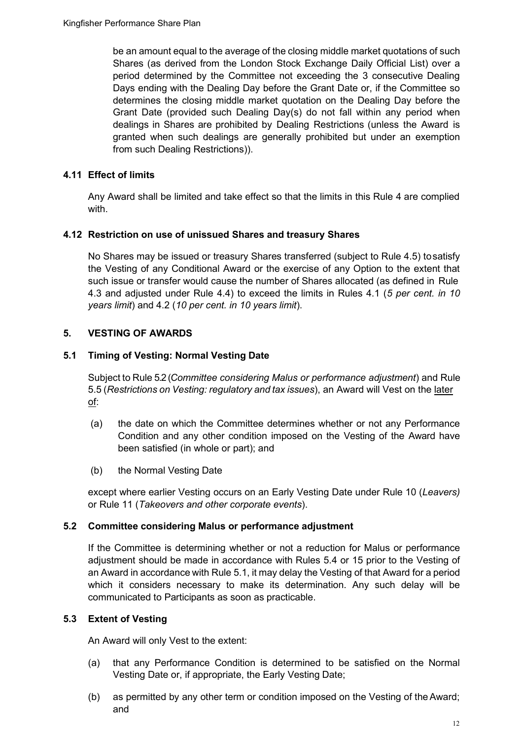be an amount equal to the average of the closing middle market quotations of such Shares (as derived from the London Stock Exchange Daily Official List) over a period determined by the Committee not exceeding the 3 consecutive Dealing Days ending with the Dealing Day before the Grant Date or, if the Committee so determines the closing middle market quotation on the Dealing Day before the Grant Date (provided such Dealing Day(s) do not fall within any period when dealings in Shares are prohibited by Dealing Restrictions (unless the Award is granted when such dealings are generally prohibited but under an exemption from such Dealing Restrictions)).

## **4.11 Effect of limits**

Any Award shall be limited and take effect so that the limits in this Rule 4 are complied with.

## **4.12 Restriction on use of unissued Shares and treasury Shares**

No Shares may be issued or treasury Shares transferred (subject to Rule 4.5) tosatisfy the Vesting of any Conditional Award or the exercise of any Option to the extent that such issue or transfer would cause the number of Shares allocated (as defined in Rule 4.3 and adjusted under Rule 4.4) to exceed the limits in Rules 4.1 (*5 per cent. in 10 years limit*) and 4.2 (*10 per cent. in 10 years limit*).

## <span id="page-11-0"></span>**5. VESTING OF AWARDS**

## **5.1 Timing of Vesting: Normal Vesting Date**

Subject to Rule 5.2 (*Committee considering Malus or performance adjustment*) and Rule 5.5 (*Restrictions on Vesting: regulatory and tax issues*), an Award will Vest on the later of:

- (a) the date on which the Committee determines whether or not any Performance Condition and any other condition imposed on the Vesting of the Award have been satisfied (in whole or part); and
- (b) the Normal Vesting Date

except where earlier Vesting occurs on an Early Vesting Date under Rule 10 (*Leavers)*  or Rule 11 (*Takeovers and other corporate events*).

## **5.2 Committee considering Malus or performance adjustment**

If the Committee is determining whether or not a reduction for Malus or performance adjustment should be made in accordance with Rules 5.4 or 15 prior to the Vesting of an Award in accordance with Rule 5.1, it may delay the Vesting of that Award for a period which it considers necessary to make its determination. Any such delay will be communicated to Participants as soon as practicable.

## **5.3 Extent of Vesting**

An Award will only Vest to the extent:

- (a) that any Performance Condition is determined to be satisfied on the Normal Vesting Date or, if appropriate, the Early Vesting Date;
- (b) as permitted by any other term or condition imposed on the Vesting of theAward; and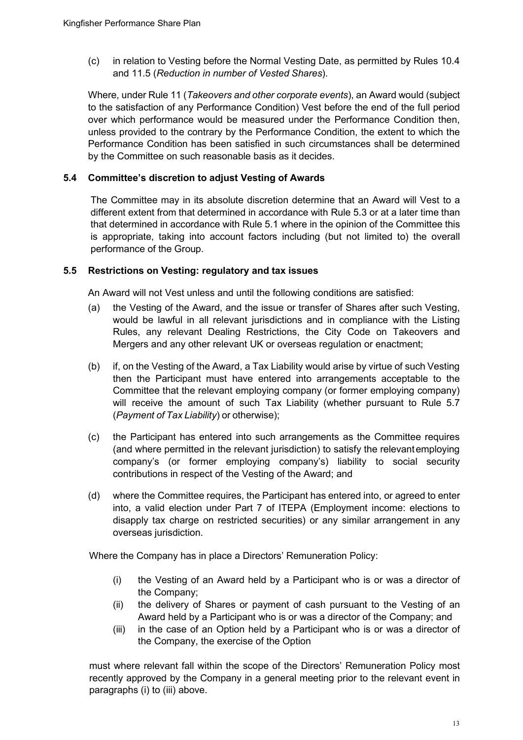(c) in relation to Vesting before the Normal Vesting Date, as permitted by Rules 10.4 and 11.5 (*Reduction in number of Vested Shares*).

Where, under Rule 11 (*Takeovers and other corporate events*), an Award would (subject to the satisfaction of any Performance Condition) Vest before the end of the full period over which performance would be measured under the Performance Condition then, unless provided to the contrary by the Performance Condition, the extent to which the Performance Condition has been satisfied in such circumstances shall be determined by the Committee on such reasonable basis as it decides.

## **5.4 Committee's discretion to adjust Vesting of Awards**

The Committee may in its absolute discretion determine that an Award will Vest to a different extent from that determined in accordance with Rule 5.3 or at a later time than that determined in accordance with Rule 5.1 where in the opinion of the Committee this is appropriate, taking into account factors including (but not limited to) the overall performance of the Group.

#### **5.5 Restrictions on Vesting: regulatory and tax issues**

An Award will not Vest unless and until the following conditions are satisfied:

- (a) the Vesting of the Award, and the issue or transfer of Shares after such Vesting, would be lawful in all relevant jurisdictions and in compliance with the Listing Rules, any relevant Dealing Restrictions, the City Code on Takeovers and Mergers and any other relevant UK or overseas regulation or enactment;
- (b) if, on the Vesting of the Award, a Tax Liability would arise by virtue of such Vesting then the Participant must have entered into arrangements acceptable to the Committee that the relevant employing company (or former employing company) will receive the amount of such Tax Liability (whether pursuant to Rule 5.7 (*Payment of Tax Liability*) or otherwise);
- (c) the Participant has entered into such arrangements as the Committee requires (and where permitted in the relevant jurisdiction) to satisfy the relevantemploying company's (or former employing company's) liability to social security contributions in respect of the Vesting of the Award; and
- (d) where the Committee requires, the Participant has entered into, or agreed to enter into, a valid election under Part 7 of ITEPA (Employment income: elections to disapply tax charge on restricted securities) or any similar arrangement in any overseas jurisdiction.

Where the Company has in place a Directors' Remuneration Policy:

- (i) the Vesting of an Award held by a Participant who is or was a director of the Company;
- (ii) the delivery of Shares or payment of cash pursuant to the Vesting of an Award held by a Participant who is or was a director of the Company; and
- (iii) in the case of an Option held by a Participant who is or was a director of the Company, the exercise of the Option

must where relevant fall within the scope of the Directors' Remuneration Policy most recently approved by the Company in a general meeting prior to the relevant event in paragraphs (i) to (iii) above.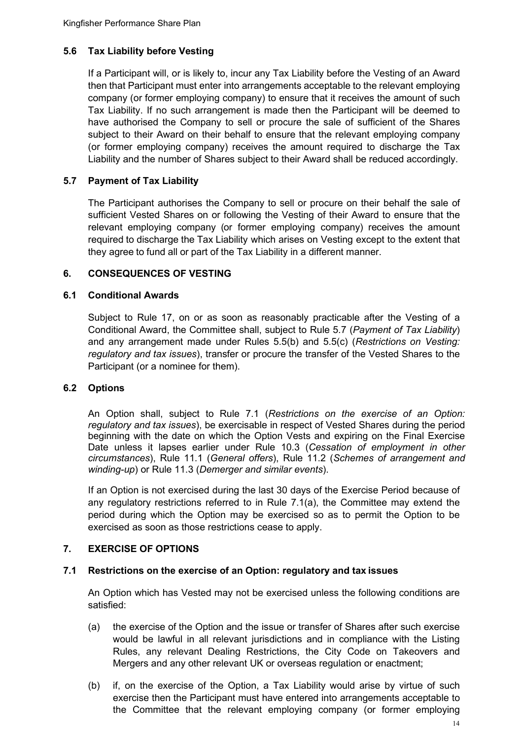## **5.6 Tax Liability before Vesting**

If a Participant will, or is likely to, incur any Tax Liability before the Vesting of an Award then that Participant must enter into arrangements acceptable to the relevant employing company (or former employing company) to ensure that it receives the amount of such Tax Liability. If no such arrangement is made then the Participant will be deemed to have authorised the Company to sell or procure the sale of sufficient of the Shares subject to their Award on their behalf to ensure that the relevant employing company (or former employing company) receives the amount required to discharge the Tax Liability and the number of Shares subject to their Award shall be reduced accordingly.

## **5.7 Payment of Tax Liability**

The Participant authorises the Company to sell or procure on their behalf the sale of sufficient Vested Shares on or following the Vesting of their Award to ensure that the relevant employing company (or former employing company) receives the amount required to discharge the Tax Liability which arises on Vesting except to the extent that they agree to fund all or part of the Tax Liability in a different manner.

## <span id="page-13-0"></span>**6. CONSEQUENCES OF VESTING**

#### **6.1 Conditional Awards**

Subject to Rule 17, on or as soon as reasonably practicable after the Vesting of a Conditional Award, the Committee shall, subject to Rule 5.7 (*Payment of Tax Liability*) and any arrangement made under Rules 5.5(b) and 5.5(c) (*Restrictions on Vesting: regulatory and tax issues*), transfer or procure the transfer of the Vested Shares to the Participant (or a nominee for them).

#### **6.2 Options**

An Option shall, subject to Rule 7.1 (*Restrictions on the exercise of an Option: regulatory and tax issues*), be exercisable in respect of Vested Shares during the period beginning with the date on which the Option Vests and expiring on the Final Exercise Date unless it lapses earlier under Rule 10.3 (*Cessation of employment in other circumstances*), Rule 11.1 (*General offers*), Rule 11.2 (*Schemes of arrangement and winding-up*) or Rule 11.3 (*Demerger and similar events*).

If an Option is not exercised during the last 30 days of the Exercise Period because of any regulatory restrictions referred to in Rule 7.1(a), the Committee may extend the period during which the Option may be exercised so as to permit the Option to be exercised as soon as those restrictions cease to apply.

## <span id="page-13-1"></span>**7. EXERCISE OF OPTIONS**

#### **7.1 Restrictions on the exercise of an Option: regulatory and tax issues**

An Option which has Vested may not be exercised unless the following conditions are satisfied:

- (a) the exercise of the Option and the issue or transfer of Shares after such exercise would be lawful in all relevant jurisdictions and in compliance with the Listing Rules, any relevant Dealing Restrictions, the City Code on Takeovers and Mergers and any other relevant UK or overseas regulation or enactment;
- (b) if, on the exercise of the Option, a Tax Liability would arise by virtue of such exercise then the Participant must have entered into arrangements acceptable to the Committee that the relevant employing company (or former employing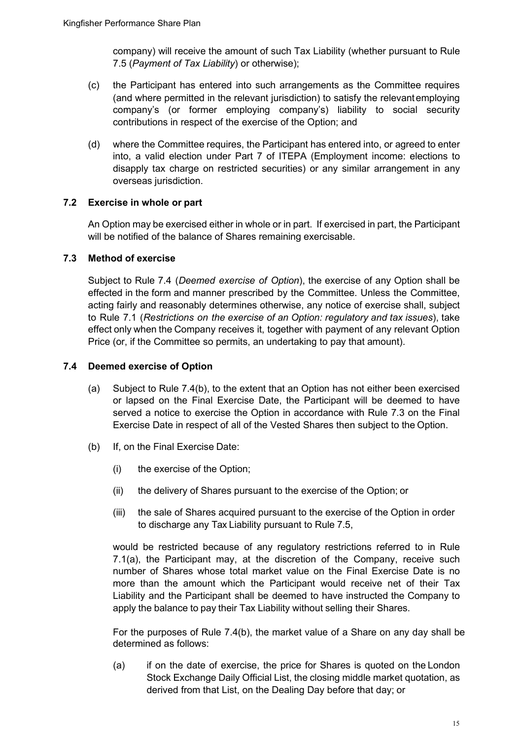company) will receive the amount of such Tax Liability (whether pursuant to Rule 7.5 (*Payment of Tax Liability*) or otherwise);

- (c) the Participant has entered into such arrangements as the Committee requires (and where permitted in the relevant jurisdiction) to satisfy the relevantemploying company's (or former employing company's) liability to social security contributions in respect of the exercise of the Option; and
- (d) where the Committee requires, the Participant has entered into, or agreed to enter into, a valid election under Part 7 of ITEPA (Employment income: elections to disapply tax charge on restricted securities) or any similar arrangement in any overseas jurisdiction.

## **7.2 Exercise in whole or part**

An Option may be exercised either in whole or in part. If exercised in part, the Participant will be notified of the balance of Shares remaining exercisable.

## **7.3 Method of exercise**

Subject to Rule 7.4 (*Deemed exercise of Option*), the exercise of any Option shall be effected in the form and manner prescribed by the Committee. Unless the Committee, acting fairly and reasonably determines otherwise, any notice of exercise shall, subject to Rule 7.1 (*Restrictions on the exercise of an Option: regulatory and tax issues*), take effect only when the Company receives it, together with payment of any relevant Option Price (or, if the Committee so permits, an undertaking to pay that amount).

## **7.4 Deemed exercise of Option**

- (a) Subject to Rule 7.4(b), to the extent that an Option has not either been exercised or lapsed on the Final Exercise Date, the Participant will be deemed to have served a notice to exercise the Option in accordance with Rule 7.3 on the Final Exercise Date in respect of all of the Vested Shares then subject to the Option.
- (b) If, on the Final Exercise Date:
	- (i) the exercise of the Option;
	- (ii) the delivery of Shares pursuant to the exercise of the Option; or
	- (iii) the sale of Shares acquired pursuant to the exercise of the Option in order to discharge any Tax Liability pursuant to Rule 7.5,

would be restricted because of any regulatory restrictions referred to in Rule 7.1(a), the Participant may, at the discretion of the Company, receive such number of Shares whose total market value on the Final Exercise Date is no more than the amount which the Participant would receive net of their Tax Liability and the Participant shall be deemed to have instructed the Company to apply the balance to pay their Tax Liability without selling their Shares.

For the purposes of Rule 7.4(b), the market value of a Share on any day shall be determined as follows:

(a) if on the date of exercise, the price for Shares is quoted on the London Stock Exchange Daily Official List, the closing middle market quotation, as derived from that List, on the Dealing Day before that day; or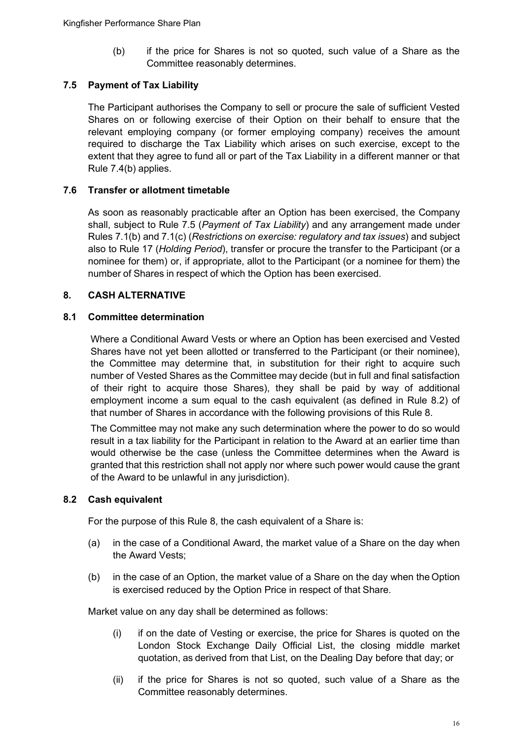(b) if the price for Shares is not so quoted, such value of a Share as the Committee reasonably determines.

## **7.5 Payment of Tax Liability**

The Participant authorises the Company to sell or procure the sale of sufficient Vested Shares on or following exercise of their Option on their behalf to ensure that the relevant employing company (or former employing company) receives the amount required to discharge the Tax Liability which arises on such exercise, except to the extent that they agree to fund all or part of the Tax Liability in a different manner or that Rule 7.4(b) applies.

## **7.6 Transfer or allotment timetable**

As soon as reasonably practicable after an Option has been exercised, the Company shall, subject to Rule 7.5 (*Payment of Tax Liability*) and any arrangement made under Rules 7.1(b) and 7.1(c) (*Restrictions on exercise: regulatory and tax issues*) and subject also to Rule 17 (*Holding Period*), transfer or procure the transfer to the Participant (or a nominee for them) or, if appropriate, allot to the Participant (or a nominee for them) the number of Shares in respect of which the Option has been exercised.

## <span id="page-15-0"></span>**8. CASH ALTERNATIVE**

## **8.1 Committee determination**

Where a Conditional Award Vests or where an Option has been exercised and Vested Shares have not yet been allotted or transferred to the Participant (or their nominee), the Committee may determine that, in substitution for their right to acquire such number of Vested Shares as the Committee may decide (but in full and final satisfaction of their right to acquire those Shares), they shall be paid by way of additional employment income a sum equal to the cash equivalent (as defined in Rule 8.2) of that number of Shares in accordance with the following provisions of this Rule 8.

The Committee may not make any such determination where the power to do so would result in a tax liability for the Participant in relation to the Award at an earlier time than would otherwise be the case (unless the Committee determines when the Award is granted that this restriction shall not apply nor where such power would cause the grant of the Award to be unlawful in any jurisdiction).

## **8.2 Cash equivalent**

For the purpose of this Rule 8, the cash equivalent of a Share is:

- (a) in the case of a Conditional Award, the market value of a Share on the day when the Award Vests;
- (b) in the case of an Option, the market value of a Share on the day when the Option is exercised reduced by the Option Price in respect of that Share.

Market value on any day shall be determined as follows:

- (i) if on the date of Vesting or exercise, the price for Shares is quoted on the London Stock Exchange Daily Official List, the closing middle market quotation, as derived from that List, on the Dealing Day before that day; or
- (ii) if the price for Shares is not so quoted, such value of a Share as the Committee reasonably determines.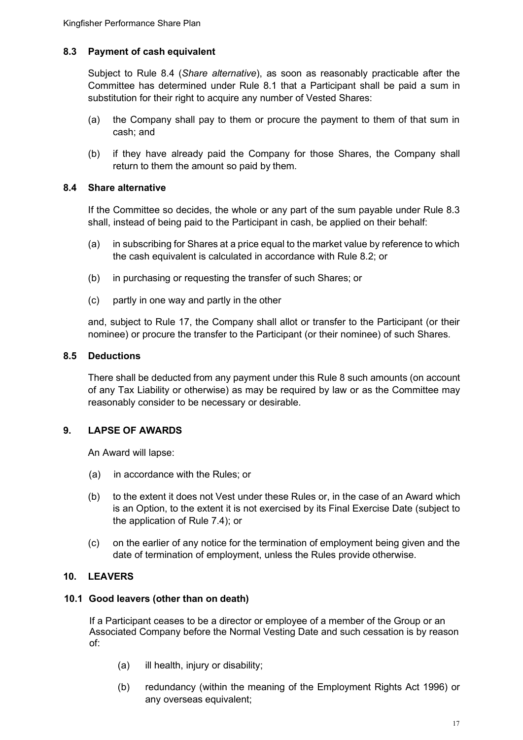## **8.3 Payment of cash equivalent**

Subject to Rule 8.4 (*Share alternative*), as soon as reasonably practicable after the Committee has determined under Rule 8.1 that a Participant shall be paid a sum in substitution for their right to acquire any number of Vested Shares:

- (a) the Company shall pay to them or procure the payment to them of that sum in cash; and
- (b) if they have already paid the Company for those Shares, the Company shall return to them the amount so paid by them.

#### **8.4 Share alternative**

If the Committee so decides, the whole or any part of the sum payable under Rule 8.3 shall, instead of being paid to the Participant in cash, be applied on their behalf:

- (a) in subscribing for Shares at a price equal to the market value by reference to which the cash equivalent is calculated in accordance with Rule 8.2; or
- (b) in purchasing or requesting the transfer of such Shares; or
- (c) partly in one way and partly in the other

and, subject to Rule 17, the Company shall allot or transfer to the Participant (or their nominee) or procure the transfer to the Participant (or their nominee) of such Shares.

#### **8.5 Deductions**

There shall be deducted from any payment under this Rule 8 such amounts (on account of any Tax Liability or otherwise) as may be required by law or as the Committee may reasonably consider to be necessary or desirable.

#### <span id="page-16-0"></span>**9. LAPSE OF AWARDS**

An Award will lapse:

- (a) in accordance with the Rules; or
- (b) to the extent it does not Vest under these Rules or, in the case of an Award which is an Option, to the extent it is not exercised by its Final Exercise Date (subject to the application of Rule 7.4); or
- (c) on the earlier of any notice for the termination of employment being given and the date of termination of employment, unless the Rules provide otherwise.

#### <span id="page-16-1"></span>**10. LEAVERS**

#### **10.1 Good leavers (other than on death)**

If a Participant ceases to be a director or employee of a member of the Group or an Associated Company before the Normal Vesting Date and such cessation is by reason of:

- (a) ill health, injury or disability;
- (b) redundancy (within the meaning of the Employment Rights Act 1996) or any overseas equivalent;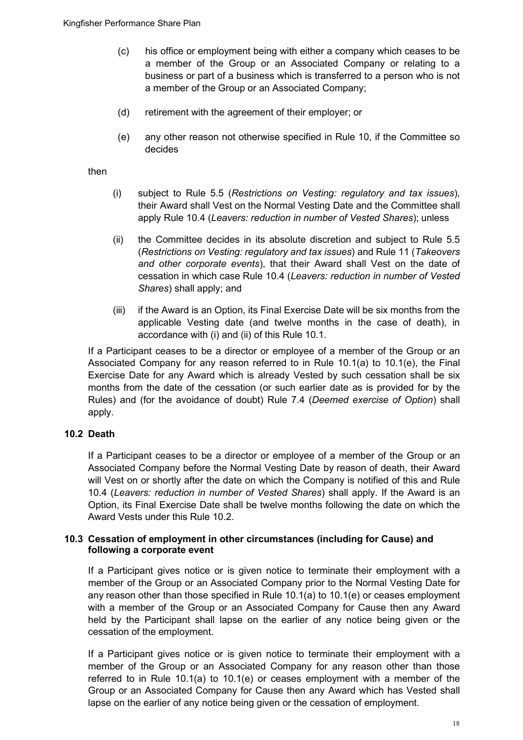- (c) his office or employment being with either a company which ceases to be a member of the Group or an Associated Company or relating to a business or part of a business which is transferred to a person who is not a member of the Group or an Associated Company;
- (d) retirement with the agreement of their employer; or
- (e) any other reason not otherwise specified in Rule 10, if the Committee so decides

then

- (i) subject to Rule 5.5 (*Restrictions on Vesting: regulatory and tax issues*), their Award shall Vest on the Normal Vesting Date and the Committee shall apply Rule 10.4 (*Leavers: reduction in number of Vested Shares*); unless
- (ii) the Committee decides in its absolute discretion and subject to Rule 5.5 (*Restrictions on Vesting: regulatory and tax issues*) and Rule 11 (*Takeovers and other corporate events*), that their Award shall Vest on the date of cessation in which case Rule 10.4 (*Leavers: reduction in number of Vested Shares*) shall apply; and
- (iii) if the Award is an Option, its Final Exercise Date will be six months from the applicable Vesting date (and twelve months in the case of death), in accordance with (i) and (ii) of this Rule 10.1.

If a Participant ceases to be a director or employee of a member of the Group or an Associated Company for any reason referred to in Rule 10.1(a) to 10.1(e), the Final Exercise Date for any Award which is already Vested by such cessation shall be six months from the date of the cessation (or such earlier date as is provided for by the Rules) and (for the avoidance of doubt) Rule 7.4 (*Deemed exercise of Option*) shall apply.

#### **10.2 Death**

If a Participant ceases to be a director or employee of a member of the Group or an Associated Company before the Normal Vesting Date by reason of death, their Award will Vest on or shortly after the date on which the Company is notified of this and Rule 10.4 (*Leavers: reduction in number of Vested Shares*) shall apply. If the Award is an Option, its Final Exercise Date shall be twelve months following the date on which the Award Vests under this Rule 10.2.

#### **10.3 Cessation of employment in other circumstances (including for Cause) and following a corporate event**

If a Participant gives notice or is given notice to terminate their employment with a member of the Group or an Associated Company prior to the Normal Vesting Date for any reason other than those specified in Rule 10.1(a) to 10.1(e) or ceases employment with a member of the Group or an Associated Company for Cause then any Award held by the Participant shall lapse on the earlier of any notice being given or the cessation of the employment.

If a Participant gives notice or is given notice to terminate their employment with a member of the Group or an Associated Company for any reason other than those referred to in Rule 10.1(a) to 10.1(e) or ceases employment with a member of the Group or an Associated Company for Cause then any Award which has Vested shall lapse on the earlier of any notice being given or the cessation of employment.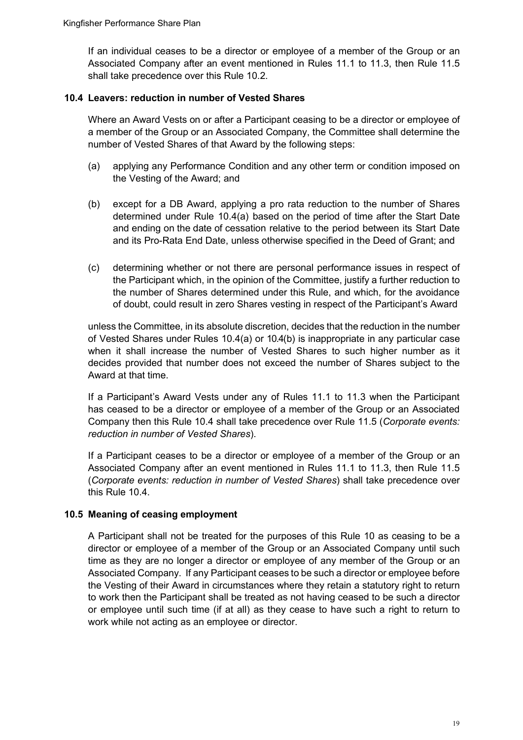If an individual ceases to be a director or employee of a member of the Group or an Associated Company after an event mentioned in Rules 11.1 to 11.3, then Rule 11.5 shall take precedence over this Rule 10.2.

#### **10.4 Leavers: reduction in number of Vested Shares**

Where an Award Vests on or after a Participant ceasing to be a director or employee of a member of the Group or an Associated Company, the Committee shall determine the number of Vested Shares of that Award by the following steps:

- (a) applying any Performance Condition and any other term or condition imposed on the Vesting of the Award; and
- (b) except for a DB Award, applying a pro rata reduction to the number of Shares determined under Rule 10.4(a) based on the period of time after the Start Date and ending on the date of cessation relative to the period between its Start Date and its Pro-Rata End Date, unless otherwise specified in the Deed of Grant; and
- (c) determining whether or not there are personal performance issues in respect of the Participant which, in the opinion of the Committee, justify a further reduction to the number of Shares determined under this Rule, and which, for the avoidance of doubt, could result in zero Shares vesting in respect of the Participant's Award

unless the Committee, in its absolute discretion, decides that the reduction in the number of Vested Shares under Rules 10.4(a) or 10.4(b) is inappropriate in any particular case when it shall increase the number of Vested Shares to such higher number as it decides provided that number does not exceed the number of Shares subject to the Award at that time.

If a Participant's Award Vests under any of Rules 11.1 to 11.3 when the Participant has ceased to be a director or employee of a member of the Group or an Associated Company then this Rule 10.4 shall take precedence over Rule 11.5 (*Corporate events: reduction in number of Vested Shares*).

If a Participant ceases to be a director or employee of a member of the Group or an Associated Company after an event mentioned in Rules 11.1 to 11.3, then Rule 11.5 (*Corporate events: reduction in number of Vested Shares*) shall take precedence over this Rule 10.4.

## **10.5 Meaning of ceasing employment**

A Participant shall not be treated for the purposes of this Rule 10 as ceasing to be a director or employee of a member of the Group or an Associated Company until such time as they are no longer a director or employee of any member of the Group or an Associated Company. If any Participant ceases to be such a director or employee before the Vesting of their Award in circumstances where they retain a statutory right to return to work then the Participant shall be treated as not having ceased to be such a director or employee until such time (if at all) as they cease to have such a right to return to work while not acting as an employee or director.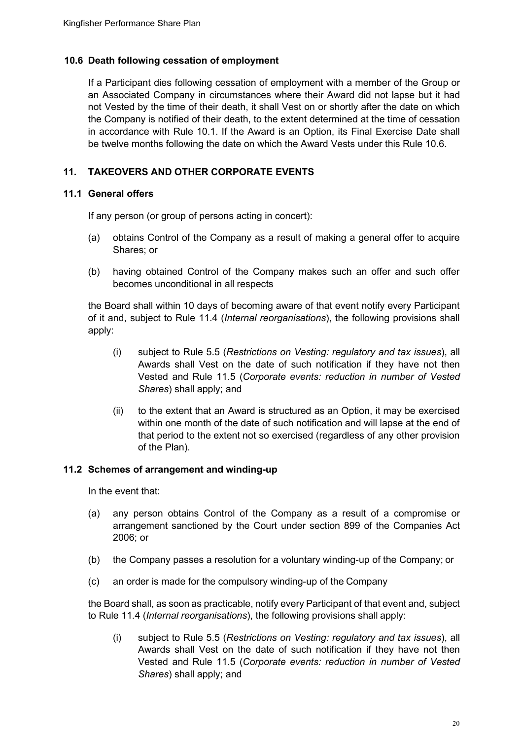#### **10.6 Death following cessation of employment**

If a Participant dies following cessation of employment with a member of the Group or an Associated Company in circumstances where their Award did not lapse but it had not Vested by the time of their death, it shall Vest on or shortly after the date on which the Company is notified of their death, to the extent determined at the time of cessation in accordance with Rule 10.1. If the Award is an Option, its Final Exercise Date shall be twelve months following the date on which the Award Vests under this Rule 10.6.

## <span id="page-19-0"></span>**11. TAKEOVERS AND OTHER CORPORATE EVENTS**

#### **11.1 General offers**

If any person (or group of persons acting in concert):

- (a) obtains Control of the Company as a result of making a general offer to acquire Shares; or
- (b) having obtained Control of the Company makes such an offer and such offer becomes unconditional in all respects

the Board shall within 10 days of becoming aware of that event notify every Participant of it and, subject to Rule 11.4 (*Internal reorganisations*), the following provisions shall apply:

- (i) subject to Rule 5.5 (*Restrictions on Vesting: regulatory and tax issues*), all Awards shall Vest on the date of such notification if they have not then Vested and Rule 11.5 (*Corporate events: reduction in number of Vested Shares*) shall apply; and
- (ii) to the extent that an Award is structured as an Option, it may be exercised within one month of the date of such notification and will lapse at the end of that period to the extent not so exercised (regardless of any other provision of the Plan).

#### **11.2 Schemes of arrangement and winding-up**

In the event that:

- (a) any person obtains Control of the Company as a result of a compromise or arrangement sanctioned by the Court under section 899 of the Companies Act 2006; or
- (b) the Company passes a resolution for a voluntary winding-up of the Company; or
- (c) an order is made for the compulsory winding-up of the Company

the Board shall, as soon as practicable, notify every Participant of that event and, subject to Rule 11.4 (*Internal reorganisations*), the following provisions shall apply:

(i) subject to Rule 5.5 (*Restrictions on Vesting: regulatory and tax issues*), all Awards shall Vest on the date of such notification if they have not then Vested and Rule 11.5 (*Corporate events: reduction in number of Vested Shares*) shall apply; and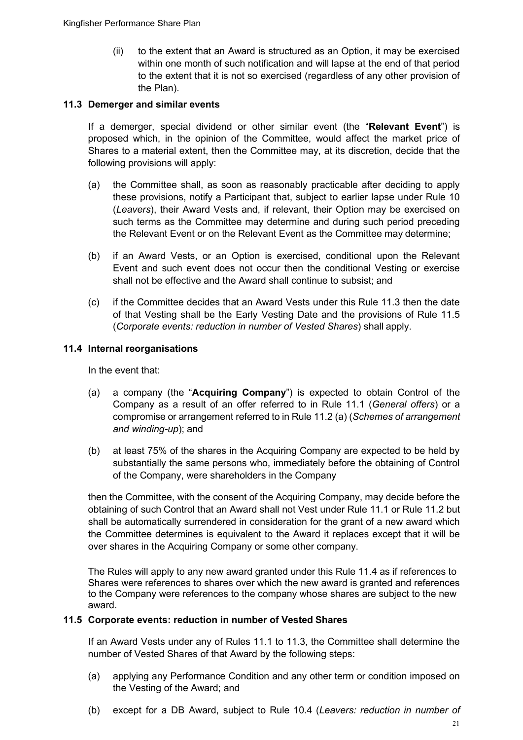(ii) to the extent that an Award is structured as an Option, it may be exercised within one month of such notification and will lapse at the end of that period to the extent that it is not so exercised (regardless of any other provision of the Plan).

#### **11.3 Demerger and similar events**

If a demerger, special dividend or other similar event (the "**Relevant Event**") is proposed which, in the opinion of the Committee, would affect the market price of Shares to a material extent, then the Committee may, at its discretion, decide that the following provisions will apply:

- (a) the Committee shall, as soon as reasonably practicable after deciding to apply these provisions, notify a Participant that, subject to earlier lapse under Rule 10 (*Leavers*), their Award Vests and, if relevant, their Option may be exercised on such terms as the Committee may determine and during such period preceding the Relevant Event or on the Relevant Event as the Committee may determine;
- (b) if an Award Vests, or an Option is exercised, conditional upon the Relevant Event and such event does not occur then the conditional Vesting or exercise shall not be effective and the Award shall continue to subsist; and
- (c) if the Committee decides that an Award Vests under this Rule 11.3 then the date of that Vesting shall be the Early Vesting Date and the provisions of Rule 11.5 (*Corporate events: reduction in number of Vested Shares*) shall apply.

#### **11.4 Internal reorganisations**

In the event that:

- (a) a company (the "**Acquiring Company**") is expected to obtain Control of the Company as a result of an offer referred to in Rule 11.1 (*General offers*) or a compromise or arrangement referred to in Rule 11.2 (a) (*Schemes of arrangement and winding-up*); and
- (b) at least 75% of the shares in the Acquiring Company are expected to be held by substantially the same persons who, immediately before the obtaining of Control of the Company, were shareholders in the Company

then the Committee, with the consent of the Acquiring Company, may decide before the obtaining of such Control that an Award shall not Vest under Rule 11.1 or Rule 11.2 but shall be automatically surrendered in consideration for the grant of a new award which the Committee determines is equivalent to the Award it replaces except that it will be over shares in the Acquiring Company or some other company.

The Rules will apply to any new award granted under this Rule 11.4 as if references to Shares were references to shares over which the new award is granted and references to the Company were references to the company whose shares are subject to the new award.

#### **11.5 Corporate events: reduction in number of Vested Shares**

If an Award Vests under any of Rules 11.1 to 11.3, the Committee shall determine the number of Vested Shares of that Award by the following steps:

- (a) applying any Performance Condition and any other term or condition imposed on the Vesting of the Award; and
- (b) except for a DB Award, subject to Rule 10.4 (*Leavers: reduction in number of*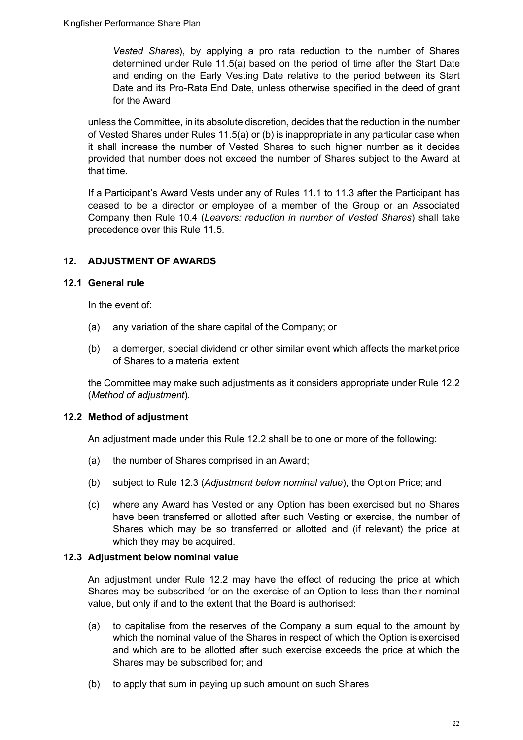*Vested Shares*), by applying a pro rata reduction to the number of Shares determined under Rule 11.5(a) based on the period of time after the Start Date and ending on the Early Vesting Date relative to the period between its Start Date and its Pro-Rata End Date, unless otherwise specified in the deed of grant for the Award

unless the Committee, in its absolute discretion, decides that the reduction in the number of Vested Shares under Rules 11.5(a) or (b) is inappropriate in any particular case when it shall increase the number of Vested Shares to such higher number as it decides provided that number does not exceed the number of Shares subject to the Award at that time.

If a Participant's Award Vests under any of Rules 11.1 to 11.3 after the Participant has ceased to be a director or employee of a member of the Group or an Associated Company then Rule 10.4 (*Leavers: reduction in number of Vested Shares*) shall take precedence over this Rule 11.5.

## <span id="page-21-0"></span>**12. ADJUSTMENT OF AWARDS**

## **12.1 General rule**

In the event of:

- (a) any variation of the share capital of the Company; or
- (b) a demerger, special dividend or other similar event which affects the market price of Shares to a material extent

the Committee may make such adjustments as it considers appropriate under Rule 12.2 (*Method of adjustment*).

## **12.2 Method of adjustment**

An adjustment made under this Rule 12.2 shall be to one or more of the following:

- (a) the number of Shares comprised in an Award;
- (b) subject to Rule 12.3 (*Adjustment below nominal value*), the Option Price; and
- (c) where any Award has Vested or any Option has been exercised but no Shares have been transferred or allotted after such Vesting or exercise, the number of Shares which may be so transferred or allotted and (if relevant) the price at which they may be acquired.

#### **12.3 Adjustment below nominal value**

An adjustment under Rule 12.2 may have the effect of reducing the price at which Shares may be subscribed for on the exercise of an Option to less than their nominal value, but only if and to the extent that the Board is authorised:

- (a) to capitalise from the reserves of the Company a sum equal to the amount by which the nominal value of the Shares in respect of which the Option is exercised and which are to be allotted after such exercise exceeds the price at which the Shares may be subscribed for; and
- (b) to apply that sum in paying up such amount on such Shares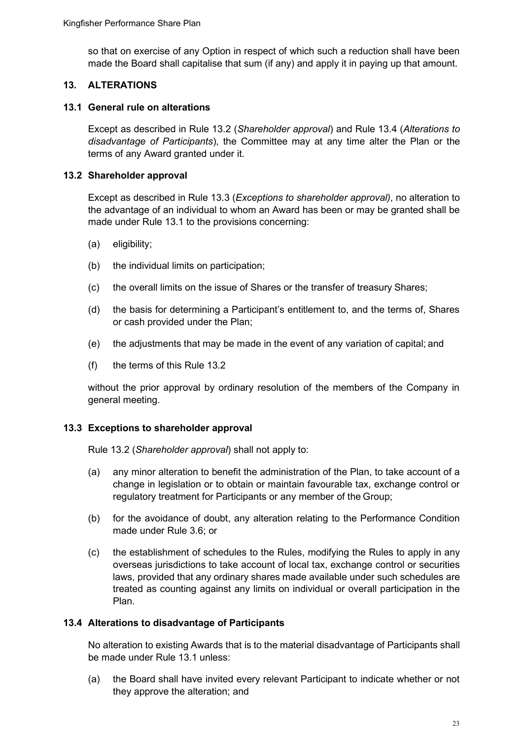so that on exercise of any Option in respect of which such a reduction shall have been made the Board shall capitalise that sum (if any) and apply it in paying up that amount.

## <span id="page-22-0"></span>**13. ALTERATIONS**

#### **13.1 General rule on alterations**

Except as described in Rule 13.2 (*Shareholder approval*) and Rule 13.4 (*Alterations to disadvantage of Participants*), the Committee may at any time alter the Plan or the terms of any Award granted under it.

#### **13.2 Shareholder approval**

Except as described in Rule 13.3 (*Exceptions to shareholder approval)*, no alteration to the advantage of an individual to whom an Award has been or may be granted shall be made under Rule 13.1 to the provisions concerning:

- (a) eligibility;
- (b) the individual limits on participation;
- (c) the overall limits on the issue of Shares or the transfer of treasury Shares;
- (d) the basis for determining a Participant's entitlement to, and the terms of, Shares or cash provided under the Plan;
- (e) the adjustments that may be made in the event of any variation of capital; and
- (f) the terms of this Rule 13.2

without the prior approval by ordinary resolution of the members of the Company in general meeting.

#### **13.3 Exceptions to shareholder approval**

Rule 13.2 (*Shareholder approval*) shall not apply to:

- (a) any minor alteration to benefit the administration of the Plan, to take account of a change in legislation or to obtain or maintain favourable tax, exchange control or regulatory treatment for Participants or any member of the Group;
- (b) for the avoidance of doubt, any alteration relating to the Performance Condition made under Rule 3.6; or
- (c) the establishment of schedules to the Rules, modifying the Rules to apply in any overseas jurisdictions to take account of local tax, exchange control or securities laws, provided that any ordinary shares made available under such schedules are treated as counting against any limits on individual or overall participation in the Plan.

#### **13.4 Alterations to disadvantage of Participants**

No alteration to existing Awards that is to the material disadvantage of Participants shall be made under Rule 13.1 unless:

(a) the Board shall have invited every relevant Participant to indicate whether or not they approve the alteration; and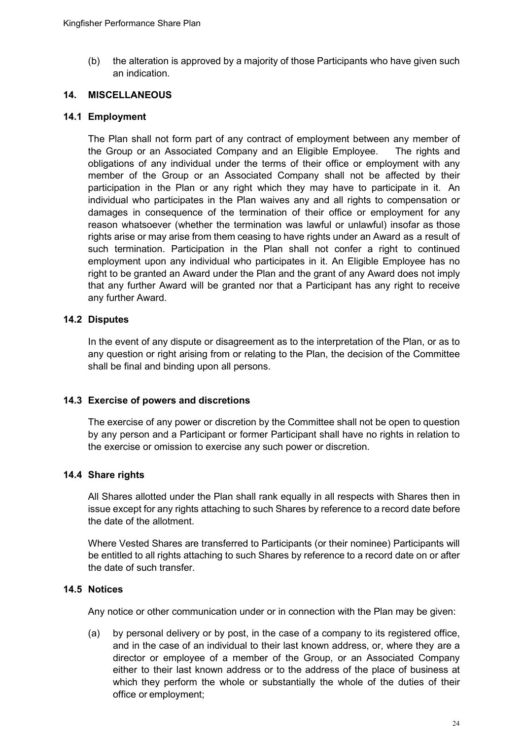(b) the alteration is approved by a majority of those Participants who have given such an indication.

#### <span id="page-23-0"></span>**14. MISCELLANEOUS**

#### **14.1 Employment**

The Plan shall not form part of any contract of employment between any member of the Group or an Associated Company and an Eligible Employee. The rights and obligations of any individual under the terms of their office or employment with any member of the Group or an Associated Company shall not be affected by their participation in the Plan or any right which they may have to participate in it. An individual who participates in the Plan waives any and all rights to compensation or damages in consequence of the termination of their office or employment for any reason whatsoever (whether the termination was lawful or unlawful) insofar as those rights arise or may arise from them ceasing to have rights under an Award as a result of such termination. Participation in the Plan shall not confer a right to continued employment upon any individual who participates in it. An Eligible Employee has no right to be granted an Award under the Plan and the grant of any Award does not imply that any further Award will be granted nor that a Participant has any right to receive any further Award.

#### **14.2 Disputes**

In the event of any dispute or disagreement as to the interpretation of the Plan, or as to any question or right arising from or relating to the Plan, the decision of the Committee shall be final and binding upon all persons.

#### **14.3 Exercise of powers and discretions**

The exercise of any power or discretion by the Committee shall not be open to question by any person and a Participant or former Participant shall have no rights in relation to the exercise or omission to exercise any such power or discretion.

#### **14.4 Share rights**

All Shares allotted under the Plan shall rank equally in all respects with Shares then in issue except for any rights attaching to such Shares by reference to a record date before the date of the allotment.

Where Vested Shares are transferred to Participants (or their nominee) Participants will be entitled to all rights attaching to such Shares by reference to a record date on or after the date of such transfer.

#### **14.5 Notices**

Any notice or other communication under or in connection with the Plan may be given:

(a) by personal delivery or by post, in the case of a company to its registered office, and in the case of an individual to their last known address, or, where they are a director or employee of a member of the Group, or an Associated Company either to their last known address or to the address of the place of business at which they perform the whole or substantially the whole of the duties of their office or employment;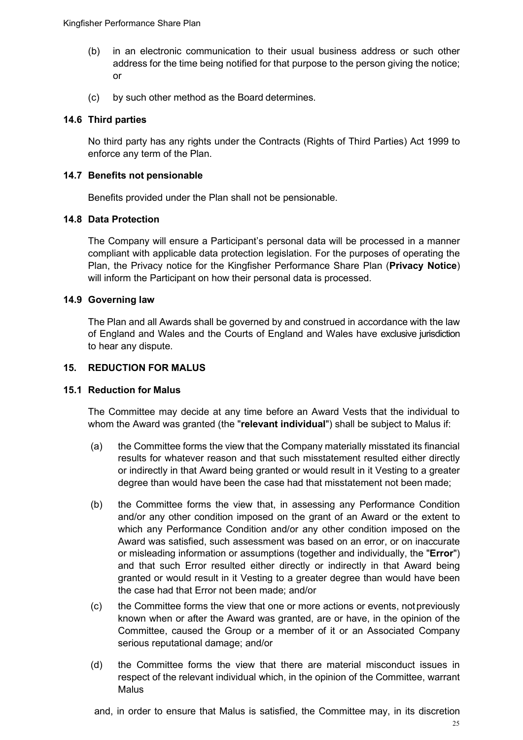- (b) in an electronic communication to their usual business address or such other address for the time being notified for that purpose to the person giving the notice; or
- (c) by such other method as the Board determines.

## **14.6 Third parties**

No third party has any rights under the Contracts (Rights of Third Parties) Act 1999 to enforce any term of the Plan.

#### **14.7 Benefits not pensionable**

Benefits provided under the Plan shall not be pensionable.

## **14.8 Data Protection**

The Company will ensure a Participant's personal data will be processed in a manner compliant with applicable data protection legislation. For the purposes of operating the Plan, the Privacy notice for the Kingfisher Performance Share Plan (**Privacy Notice**) will inform the Participant on how their personal data is processed.

## **14.9 Governing law**

The Plan and all Awards shall be governed by and construed in accordance with the law of England and Wales and the Courts of England and Wales have exclusive jurisdiction to hear any dispute.

#### <span id="page-24-0"></span>**15. REDUCTION FOR MALUS**

#### **15.1 Reduction for Malus**

The Committee may decide at any time before an Award Vests that the individual to whom the Award was granted (the "**relevant individual**") shall be subject to Malus if:

- (a) the Committee forms the view that the Company materially misstated its financial results for whatever reason and that such misstatement resulted either directly or indirectly in that Award being granted or would result in it Vesting to a greater degree than would have been the case had that misstatement not been made;
- (b) the Committee forms the view that, in assessing any Performance Condition and/or any other condition imposed on the grant of an Award or the extent to which any Performance Condition and/or any other condition imposed on the Award was satisfied, such assessment was based on an error, or on inaccurate or misleading information or assumptions (together and individually, the "**Error**") and that such Error resulted either directly or indirectly in that Award being granted or would result in it Vesting to a greater degree than would have been the case had that Error not been made; and/or
- (c) the Committee forms the view that one or more actions or events, notpreviously known when or after the Award was granted, are or have, in the opinion of the Committee, caused the Group or a member of it or an Associated Company serious reputational damage; and/or
- (d) the Committee forms the view that there are material misconduct issues in respect of the relevant individual which, in the opinion of the Committee, warrant Malus

and, in order to ensure that Malus is satisfied, the Committee may, in its discretion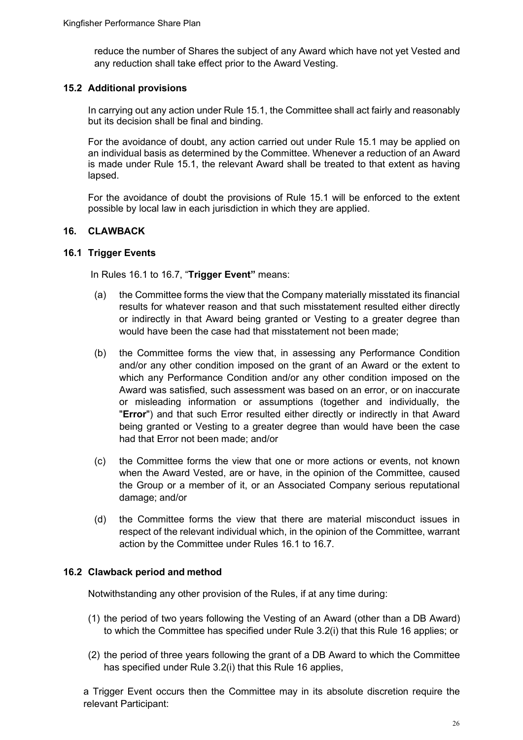reduce the number of Shares the subject of any Award which have not yet Vested and any reduction shall take effect prior to the Award Vesting.

#### **15.2 Additional provisions**

In carrying out any action under Rule 15.1, the Committee shall act fairly and reasonably but its decision shall be final and binding.

For the avoidance of doubt, any action carried out under Rule 15.1 may be applied on an individual basis as determined by the Committee. Whenever a reduction of an Award is made under Rule 15.1, the relevant Award shall be treated to that extent as having lapsed.

For the avoidance of doubt the provisions of Rule 15.1 will be enforced to the extent possible by local law in each jurisdiction in which they are applied.

## <span id="page-25-0"></span>**16. CLAWBACK**

#### **16.1 Trigger Events**

In Rules 16.1 to 16.7, "**Trigger Event"** means:

- (a) the Committee forms the view that the Company materially misstated its financial results for whatever reason and that such misstatement resulted either directly or indirectly in that Award being granted or Vesting to a greater degree than would have been the case had that misstatement not been made;
- (b) the Committee forms the view that, in assessing any Performance Condition and/or any other condition imposed on the grant of an Award or the extent to which any Performance Condition and/or any other condition imposed on the Award was satisfied, such assessment was based on an error, or on inaccurate or misleading information or assumptions (together and individually, the "**Error**") and that such Error resulted either directly or indirectly in that Award being granted or Vesting to a greater degree than would have been the case had that Error not been made; and/or
- (c) the Committee forms the view that one or more actions or events, not known when the Award Vested, are or have, in the opinion of the Committee, caused the Group or a member of it, or an Associated Company serious reputational damage; and/or
- (d) the Committee forms the view that there are material misconduct issues in respect of the relevant individual which, in the opinion of the Committee, warrant action by the Committee under Rules 16.1 to 16.7.

#### **16.2 Clawback period and method**

Notwithstanding any other provision of the Rules, if at any time during:

- (1) the period of two years following the Vesting of an Award (other than a DB Award) to which the Committee has specified under Rule 3.2(i) that this Rule 16 applies; or
- (2) the period of three years following the grant of a DB Award to which the Committee has specified under Rule 3.2(i) that this Rule 16 applies,

a Trigger Event occurs then the Committee may in its absolute discretion require the relevant Participant: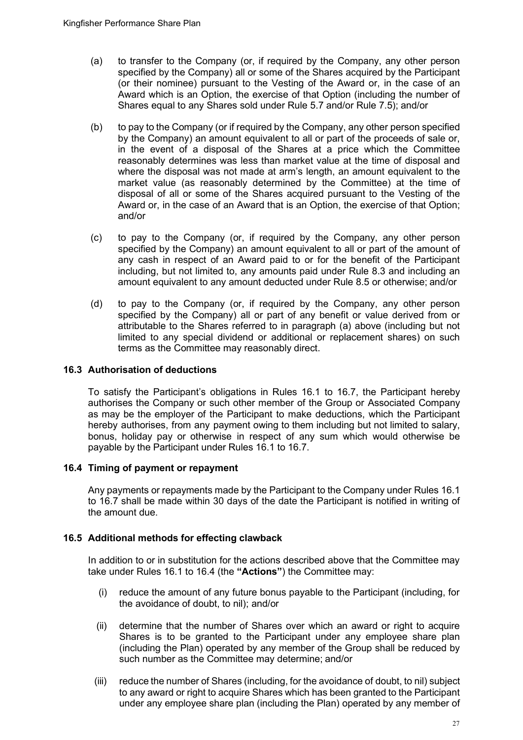- (a) to transfer to the Company (or, if required by the Company, any other person specified by the Company) all or some of the Shares acquired by the Participant (or their nominee) pursuant to the Vesting of the Award or, in the case of an Award which is an Option, the exercise of that Option (including the number of Shares equal to any Shares sold under Rule 5.7 and/or Rule 7.5); and/or
- (b) to pay to the Company (or if required by the Company, any other person specified by the Company) an amount equivalent to all or part of the proceeds of sale or, in the event of a disposal of the Shares at a price which the Committee reasonably determines was less than market value at the time of disposal and where the disposal was not made at arm's length, an amount equivalent to the market value (as reasonably determined by the Committee) at the time of disposal of all or some of the Shares acquired pursuant to the Vesting of the Award or, in the case of an Award that is an Option, the exercise of that Option; and/or
- (c) to pay to the Company (or, if required by the Company, any other person specified by the Company) an amount equivalent to all or part of the amount of any cash in respect of an Award paid to or for the benefit of the Participant including, but not limited to, any amounts paid under Rule 8.3 and including an amount equivalent to any amount deducted under Rule 8.5 or otherwise; and/or
- (d) to pay to the Company (or, if required by the Company, any other person specified by the Company) all or part of any benefit or value derived from or attributable to the Shares referred to in paragraph (a) above (including but not limited to any special dividend or additional or replacement shares) on such terms as the Committee may reasonably direct.

#### **16.3 Authorisation of deductions**

To satisfy the Participant's obligations in Rules 16.1 to 16.7, the Participant hereby authorises the Company or such other member of the Group or Associated Company as may be the employer of the Participant to make deductions, which the Participant hereby authorises, from any payment owing to them including but not limited to salary, bonus, holiday pay or otherwise in respect of any sum which would otherwise be payable by the Participant under Rules 16.1 to 16.7.

#### **16.4 Timing of payment or repayment**

Any payments or repayments made by the Participant to the Company under Rules 16.1 to 16.7 shall be made within 30 days of the date the Participant is notified in writing of the amount due.

#### **16.5 Additional methods for effecting clawback**

In addition to or in substitution for the actions described above that the Committee may take under Rules 16.1 to 16.4 (the **"Actions"**) the Committee may:

- (i) reduce the amount of any future bonus payable to the Participant (including, for the avoidance of doubt, to nil); and/or
- (ii) determine that the number of Shares over which an award or right to acquire Shares is to be granted to the Participant under any employee share plan (including the Plan) operated by any member of the Group shall be reduced by such number as the Committee may determine; and/or
- (iii) reduce the number of Shares (including, for the avoidance of doubt, to nil) subject to any award or right to acquire Shares which has been granted to the Participant under any employee share plan (including the Plan) operated by any member of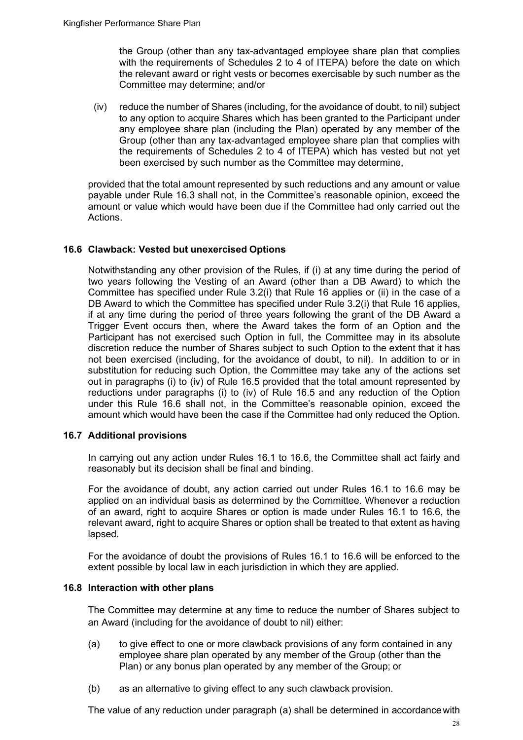the Group (other than any tax-advantaged employee share plan that complies with the requirements of Schedules 2 to 4 of ITEPA) before the date on which the relevant award or right vests or becomes exercisable by such number as the Committee may determine; and/or

(iv) reduce the number of Shares (including, for the avoidance of doubt, to nil) subject to any option to acquire Shares which has been granted to the Participant under any employee share plan (including the Plan) operated by any member of the Group (other than any tax-advantaged employee share plan that complies with the requirements of Schedules 2 to 4 of ITEPA) which has vested but not yet been exercised by such number as the Committee may determine,

provided that the total amount represented by such reductions and any amount or value payable under Rule 16.3 shall not, in the Committee's reasonable opinion, exceed the amount or value which would have been due if the Committee had only carried out the Actions.

#### **16.6 Clawback: Vested but unexercised Options**

Notwithstanding any other provision of the Rules, if (i) at any time during the period of two years following the Vesting of an Award (other than a DB Award) to which the Committee has specified under Rule 3.2(i) that Rule 16 applies or (ii) in the case of a DB Award to which the Committee has specified under Rule 3.2(i) that Rule 16 applies, if at any time during the period of three years following the grant of the DB Award a Trigger Event occurs then, where the Award takes the form of an Option and the Participant has not exercised such Option in full, the Committee may in its absolute discretion reduce the number of Shares subject to such Option to the extent that it has not been exercised (including, for the avoidance of doubt, to nil). In addition to or in substitution for reducing such Option, the Committee may take any of the actions set out in paragraphs (i) to (iv) of Rule 16.5 provided that the total amount represented by reductions under paragraphs (i) to (iv) of Rule 16.5 and any reduction of the Option under this Rule 16.6 shall not, in the Committee's reasonable opinion, exceed the amount which would have been the case if the Committee had only reduced the Option.

#### **16.7 Additional provisions**

In carrying out any action under Rules 16.1 to 16.6, the Committee shall act fairly and reasonably but its decision shall be final and binding.

For the avoidance of doubt, any action carried out under Rules 16.1 to 16.6 may be applied on an individual basis as determined by the Committee. Whenever a reduction of an award, right to acquire Shares or option is made under Rules 16.1 to 16.6, the relevant award, right to acquire Shares or option shall be treated to that extent as having lapsed.

For the avoidance of doubt the provisions of Rules 16.1 to 16.6 will be enforced to the extent possible by local law in each jurisdiction in which they are applied.

#### **16.8 Interaction with other plans**

The Committee may determine at any time to reduce the number of Shares subject to an Award (including for the avoidance of doubt to nil) either:

- (a) to give effect to one or more clawback provisions of any form contained in any employee share plan operated by any member of the Group (other than the Plan) or any bonus plan operated by any member of the Group; or
- (b) as an alternative to giving effect to any such clawback provision.

The value of any reduction under paragraph (a) shall be determined in accordancewith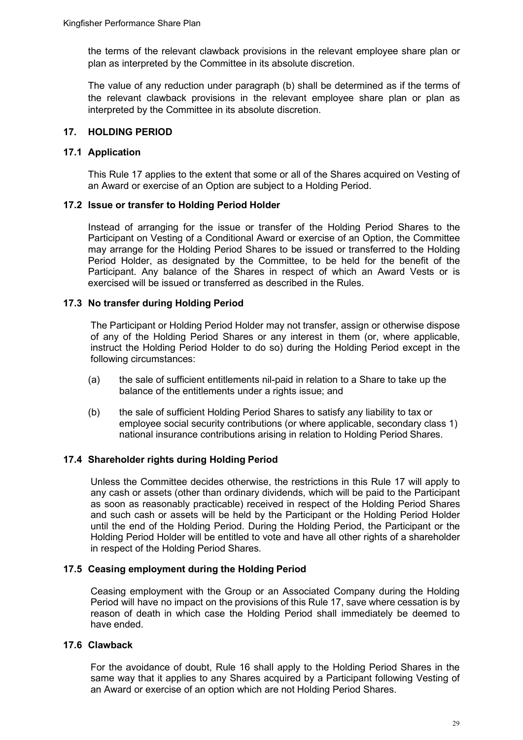the terms of the relevant clawback provisions in the relevant employee share plan or plan as interpreted by the Committee in its absolute discretion.

The value of any reduction under paragraph (b) shall be determined as if the terms of the relevant clawback provisions in the relevant employee share plan or plan as interpreted by the Committee in its absolute discretion.

#### <span id="page-28-0"></span>**17. HOLDING PERIOD**

#### **17.1 Application**

This Rule 17 applies to the extent that some or all of the Shares acquired on Vesting of an Award or exercise of an Option are subject to a Holding Period.

## **17.2 Issue or transfer to Holding Period Holder**

Instead of arranging for the issue or transfer of the Holding Period Shares to the Participant on Vesting of a Conditional Award or exercise of an Option, the Committee may arrange for the Holding Period Shares to be issued or transferred to the Holding Period Holder, as designated by the Committee, to be held for the benefit of the Participant. Any balance of the Shares in respect of which an Award Vests or is exercised will be issued or transferred as described in the Rules.

## **17.3 No transfer during Holding Period**

The Participant or Holding Period Holder may not transfer, assign or otherwise dispose of any of the Holding Period Shares or any interest in them (or, where applicable, instruct the Holding Period Holder to do so) during the Holding Period except in the following circumstances:

- (a) the sale of sufficient entitlements nil-paid in relation to a Share to take up the balance of the entitlements under a rights issue; and
- (b) the sale of sufficient Holding Period Shares to satisfy any liability to tax or employee social security contributions (or where applicable, secondary class 1) national insurance contributions arising in relation to Holding Period Shares.

## **17.4 Shareholder rights during Holding Period**

Unless the Committee decides otherwise, the restrictions in this Rule 17 will apply to any cash or assets (other than ordinary dividends, which will be paid to the Participant as soon as reasonably practicable) received in respect of the Holding Period Shares and such cash or assets will be held by the Participant or the Holding Period Holder until the end of the Holding Period. During the Holding Period, the Participant or the Holding Period Holder will be entitled to vote and have all other rights of a shareholder in respect of the Holding Period Shares.

#### **17.5 Ceasing employment during the Holding Period**

Ceasing employment with the Group or an Associated Company during the Holding Period will have no impact on the provisions of this Rule 17, save where cessation is by reason of death in which case the Holding Period shall immediately be deemed to have ended.

## **17.6 Clawback**

For the avoidance of doubt, Rule 16 shall apply to the Holding Period Shares in the same way that it applies to any Shares acquired by a Participant following Vesting of an Award or exercise of an option which are not Holding Period Shares.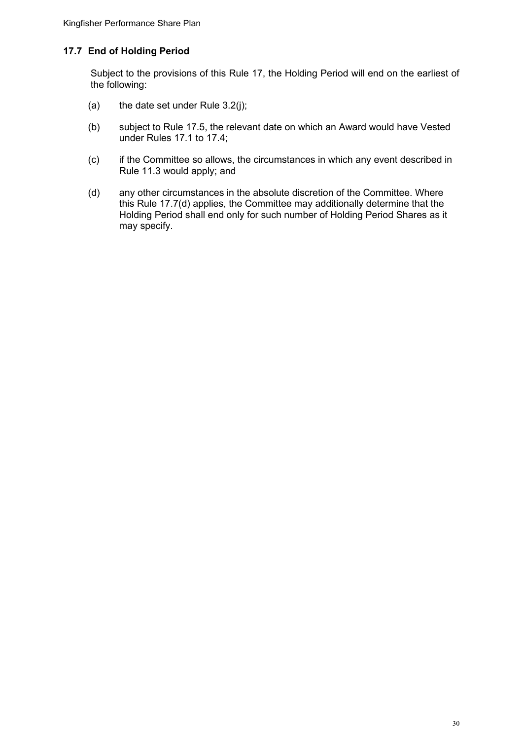## **17.7 End of Holding Period**

Subject to the provisions of this Rule 17, the Holding Period will end on the earliest of the following:

- (a) the date set under Rule  $3.2(j)$ ;
- (b) subject to Rule 17.5, the relevant date on which an Award would have Vested under Rules 17.1 to 17.4;
- (c) if the Committee so allows, the circumstances in which any event described in Rule 11.3 would apply; and
- (d) any other circumstances in the absolute discretion of the Committee. Where this Rule 17.7(d) applies, the Committee may additionally determine that the Holding Period shall end only for such number of Holding Period Shares as it may specify.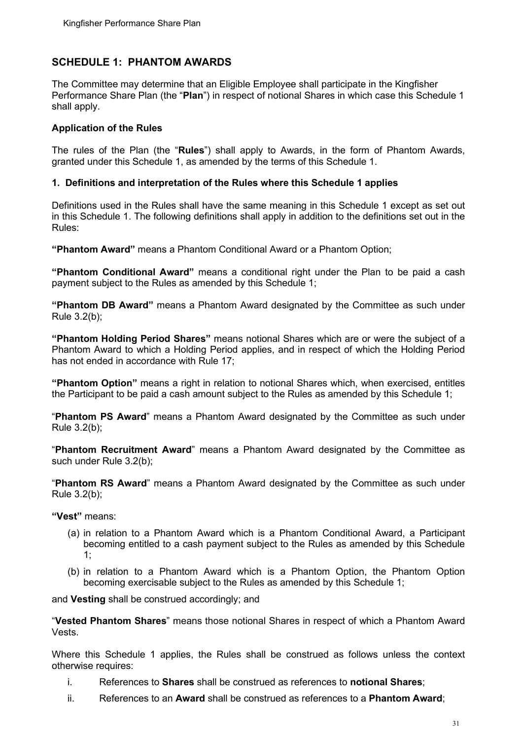## <span id="page-30-0"></span>**SCHEDULE 1: PHANTOM AWARDS**

The Committee may determine that an Eligible Employee shall participate in the Kingfisher Performance Share Plan (the "**Plan**") in respect of notional Shares in which case this Schedule 1 shall apply.

#### **Application of the Rules**

The rules of the Plan (the "**Rules**") shall apply to Awards, in the form of Phantom Awards, granted under this Schedule 1, as amended by the terms of this Schedule 1.

#### **1. Definitions and interpretation of the Rules where this Schedule 1 applies**

Definitions used in the Rules shall have the same meaning in this Schedule 1 except as set out in this Schedule 1. The following definitions shall apply in addition to the definitions set out in the Rules:

**"Phantom Award"** means a Phantom Conditional Award or a Phantom Option;

**"Phantom Conditional Award"** means a conditional right under the Plan to be paid a cash payment subject to the Rules as amended by this Schedule 1;

**"Phantom DB Award"** means a Phantom Award designated by the Committee as such under Rule 3.2(b);

**"Phantom Holding Period Shares"** means notional Shares which are or were the subject of a Phantom Award to which a Holding Period applies, and in respect of which the Holding Period has not ended in accordance with Rule 17;

**"Phantom Option"** means a right in relation to notional Shares which, when exercised, entitles the Participant to be paid a cash amount subject to the Rules as amended by this Schedule 1;

"**Phantom PS Award**" means a Phantom Award designated by the Committee as such under Rule 3.2(b);

"**Phantom Recruitment Award**" means a Phantom Award designated by the Committee as such under Rule 3.2(b);

"**Phantom RS Award**" means a Phantom Award designated by the Committee as such under Rule 3.2(b);

**"Vest"** means:

- (a) in relation to a Phantom Award which is a Phantom Conditional Award, a Participant becoming entitled to a cash payment subject to the Rules as amended by this Schedule 1;
- (b) in relation to a Phantom Award which is a Phantom Option, the Phantom Option becoming exercisable subject to the Rules as amended by this Schedule 1;

and **Vesting** shall be construed accordingly; and

"**Vested Phantom Shares**" means those notional Shares in respect of which a Phantom Award Vests.

Where this Schedule 1 applies, the Rules shall be construed as follows unless the context otherwise requires:

- i. References to **Shares** shall be construed as references to **notional Shares**;
- ii. References to an **Award** shall be construed as references to a **Phantom Award**;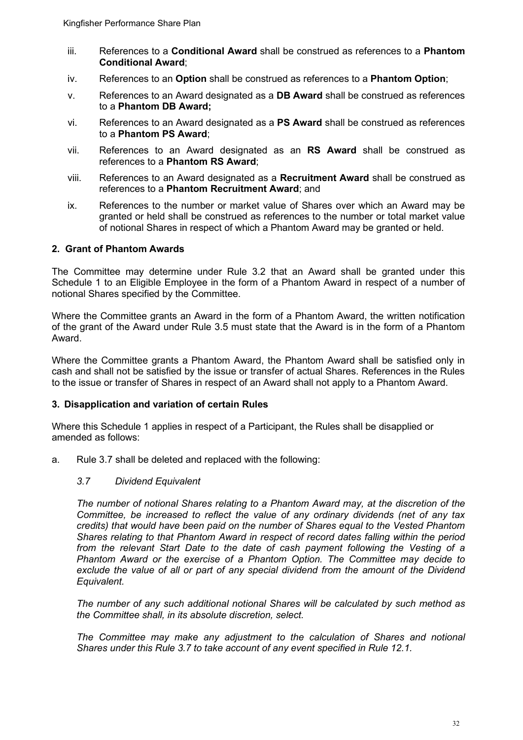- iii. References to a **Conditional Award** shall be construed as references to a **Phantom Conditional Award**;
- iv. References to an **Option** shall be construed as references to a **Phantom Option**;
- v. References to an Award designated as a **DB Award** shall be construed as references to a **Phantom DB Award;**
- vi. References to an Award designated as a **PS Award** shall be construed as references to a **Phantom PS Award**;
- vii. References to an Award designated as an **RS Award** shall be construed as references to a **Phantom RS Award**;
- viii. References to an Award designated as a **Recruitment Award** shall be construed as references to a **Phantom Recruitment Award**; and
- ix. References to the number or market value of Shares over which an Award may be granted or held shall be construed as references to the number or total market value of notional Shares in respect of which a Phantom Award may be granted or held.

#### **2. Grant of Phantom Awards**

The Committee may determine under Rule 3.2 that an Award shall be granted under this Schedule 1 to an Eligible Employee in the form of a Phantom Award in respect of a number of notional Shares specified by the Committee.

Where the Committee grants an Award in the form of a Phantom Award, the written notification of the grant of the Award under Rule 3.5 must state that the Award is in the form of a Phantom Award.

Where the Committee grants a Phantom Award, the Phantom Award shall be satisfied only in cash and shall not be satisfied by the issue or transfer of actual Shares. References in the Rules to the issue or transfer of Shares in respect of an Award shall not apply to a Phantom Award.

#### **3. Disapplication and variation of certain Rules**

Where this Schedule 1 applies in respect of a Participant, the Rules shall be disapplied or amended as follows:

a. Rule 3.7 shall be deleted and replaced with the following:

#### *3.7 Dividend Equivalent*

*The number of notional Shares relating to a Phantom Award may, at the discretion of the Committee, be increased to reflect the value of any ordinary dividends (net of any tax credits) that would have been paid on the number of Shares equal to the Vested Phantom Shares relating to that Phantom Award in respect of record dates falling within the period from the relevant Start Date to the date of cash payment following the Vesting of a Phantom Award or the exercise of a Phantom Option. The Committee may decide to exclude the value of all or part of any special dividend from the amount of the Dividend Equivalent.*

*The number of any such additional notional Shares will be calculated by such method as the Committee shall, in its absolute discretion, select.*

*The Committee may make any adjustment to the calculation of Shares and notional Shares under this Rule 3.7 to take account of any event specified in Rule 12.1.*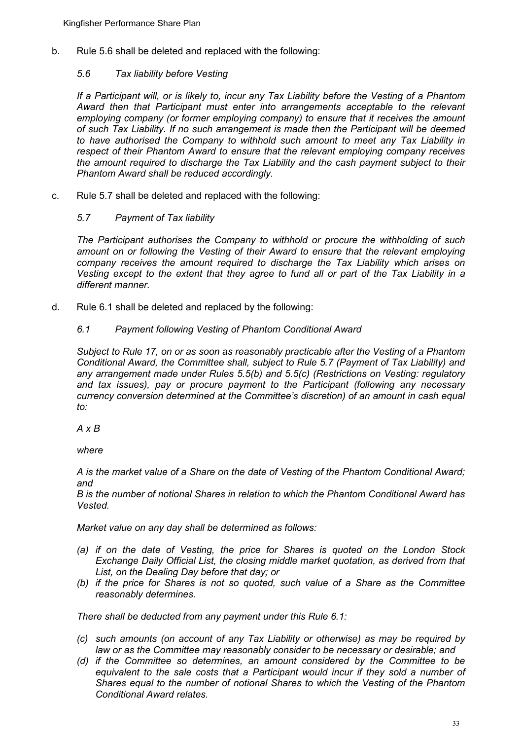b. Rule 5.6 shall be deleted and replaced with the following:

## *5.6 Tax liability before Vesting*

*If a Participant will, or is likely to, incur any Tax Liability before the Vesting of a Phantom Award then that Participant must enter into arrangements acceptable to the relevant employing company (or former employing company) to ensure that it receives the amount of such Tax Liability. If no such arrangement is made then the Participant will be deemed to have authorised the Company to withhold such amount to meet any Tax Liability in respect of their Phantom Award to ensure that the relevant employing company receives the amount required to discharge the Tax Liability and the cash payment subject to their Phantom Award shall be reduced accordingly.*

c. Rule 5.7 shall be deleted and replaced with the following:

## *5.7 Payment of Tax liability*

*The Participant authorises the Company to withhold or procure the withholding of such amount on or following the Vesting of their Award to ensure that the relevant employing company receives the amount required to discharge the Tax Liability which arises on Vesting except to the extent that they agree to fund all or part of the Tax Liability in a different manner.*

d. Rule 6.1 shall be deleted and replaced by the following:

## *6.1 Payment following Vesting of Phantom Conditional Award*

*Subject to Rule 17, on or as soon as reasonably practicable after the Vesting of a Phantom Conditional Award, the Committee shall, subject to Rule 5.7 (Payment of Tax Liability) and any arrangement made under Rules 5.5(b) and 5.5(c) (Restrictions on Vesting: regulatory and tax issues), pay or procure payment to the Participant (following any necessary currency conversion determined at the Committee's discretion) of an amount in cash equal to:*

*A x B*

*where*

*A is the market value of a Share on the date of Vesting of the Phantom Conditional Award; and*

*B is the number of notional Shares in relation to which the Phantom Conditional Award has Vested.*

*Market value on any day shall be determined as follows:* 

- *(a) if on the date of Vesting, the price for Shares is quoted on the London Stock Exchange Daily Official List, the closing middle market quotation, as derived from that List, on the Dealing Day before that day; or*
- *(b) if the price for Shares is not so quoted, such value of a Share as the Committee reasonably determines.*

*There shall be deducted from any payment under this Rule 6.1:*

- *(c) such amounts (on account of any Tax Liability or otherwise) as may be required by law or as the Committee may reasonably consider to be necessary or desirable; and*
- *(d) if the Committee so determines, an amount considered by the Committee to be equivalent to the sale costs that a Participant would incur if they sold a number of Shares equal to the number of notional Shares to which the Vesting of the Phantom Conditional Award relates.*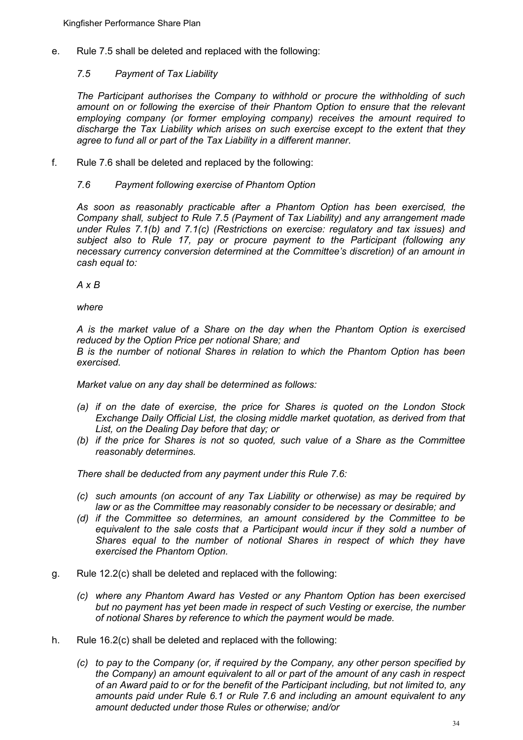e. Rule 7.5 shall be deleted and replaced with the following:

#### *7.5 Payment of Tax Liability*

*The Participant authorises the Company to withhold or procure the withholding of such amount on or following the exercise of their Phantom Option to ensure that the relevant employing company (or former employing company) receives the amount required to discharge the Tax Liability which arises on such exercise except to the extent that they agree to fund all or part of the Tax Liability in a different manner.*

f. Rule 7.6 shall be deleted and replaced by the following:

## *7.6 Payment following exercise of Phantom Option*

*As soon as reasonably practicable after a Phantom Option has been exercised, the Company shall, subject to Rule 7.5 (Payment of Tax Liability) and any arrangement made under Rules 7.1(b) and 7.1(c) (Restrictions on exercise: regulatory and tax issues) and subject also to Rule 17, pay or procure payment to the Participant (following any necessary currency conversion determined at the Committee's discretion) of an amount in cash equal to:*

*A x B*

*where*

*A is the market value of a Share on the day when the Phantom Option is exercised reduced by the Option Price per notional Share; and B is the number of notional Shares in relation to which the Phantom Option has been* 

*exercised.*

*Market value on any day shall be determined as follows:* 

- *(a) if on the date of exercise, the price for Shares is quoted on the London Stock Exchange Daily Official List, the closing middle market quotation, as derived from that List, on the Dealing Day before that day; or*
- *(b) if the price for Shares is not so quoted, such value of a Share as the Committee reasonably determines.*

*There shall be deducted from any payment under this Rule 7.6:*

- *(c) such amounts (on account of any Tax Liability or otherwise) as may be required by law or as the Committee may reasonably consider to be necessary or desirable; and*
- *(d) if the Committee so determines, an amount considered by the Committee to be equivalent to the sale costs that a Participant would incur if they sold a number of Shares equal to the number of notional Shares in respect of which they have exercised the Phantom Option.*
- g. Rule 12.2(c) shall be deleted and replaced with the following:
	- *(c) where any Phantom Award has Vested or any Phantom Option has been exercised but no payment has yet been made in respect of such Vesting or exercise, the number of notional Shares by reference to which the payment would be made.*
- h. Rule 16.2(c) shall be deleted and replaced with the following:
	- *(c) to pay to the Company (or, if required by the Company, any other person specified by the Company) an amount equivalent to all or part of the amount of any cash in respect of an Award paid to or for the benefit of the Participant including, but not limited to, any amounts paid under Rule 6.1 or Rule 7.6 and including an amount equivalent to any amount deducted under those Rules or otherwise; and/or*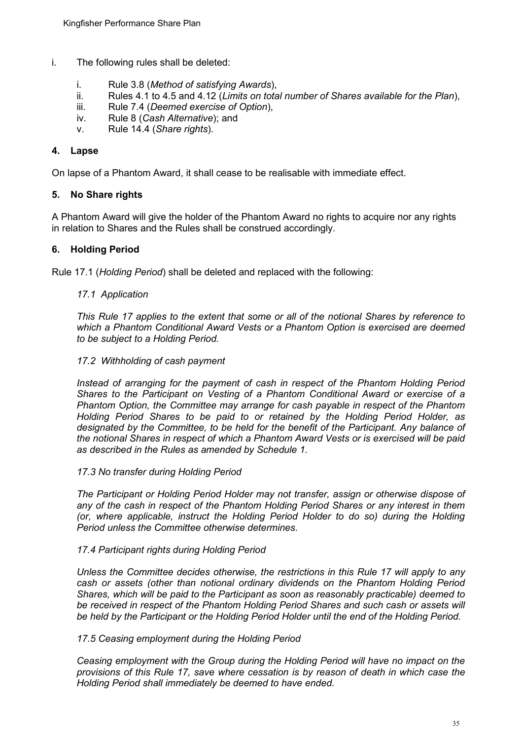- i. The following rules shall be deleted:
	- i. Rule 3.8 (*Method of satisfying Awards*),
	- ii. Rules 4.1 to 4.5 and 4.12 (*Limits on total number of Shares available for the Plan*), iii. Rule 7.4 (*Deemed exercise of Option*).
	- Rule 7.4 (*Deemed exercise of Option*),
	- iv. Rule 8 (*Cash Alternative*); and<br>v. Rule 14.4 (*Share rights*).
	- Rule 14.4 (*Share rights*).

#### **4. Lapse**

On lapse of a Phantom Award, it shall cease to be realisable with immediate effect.

#### **5. No Share rights**

A Phantom Award will give the holder of the Phantom Award no rights to acquire nor any rights in relation to Shares and the Rules shall be construed accordingly.

#### **6. Holding Period**

Rule 17.1 (*Holding Period*) shall be deleted and replaced with the following:

#### *17.1 Application*

*This Rule 17 applies to the extent that some or all of the notional Shares by reference to which a Phantom Conditional Award Vests or a Phantom Option is exercised are deemed to be subject to a Holding Period.* 

#### *17.2 Withholding of cash payment*

*Instead of arranging for the payment of cash in respect of the Phantom Holding Period Shares to the Participant on Vesting of a Phantom Conditional Award or exercise of a Phantom Option, the Committee may arrange for cash payable in respect of the Phantom Holding Period Shares to be paid to or retained by the Holding Period Holder, as designated by the Committee, to be held for the benefit of the Participant. Any balance of the notional Shares in respect of which a Phantom Award Vests or is exercised will be paid as described in the Rules as amended by Schedule 1.*

#### *17.3 No transfer during Holding Period*

*The Participant or Holding Period Holder may not transfer, assign or otherwise dispose of any of the cash in respect of the Phantom Holding Period Shares or any interest in them (or, where applicable, instruct the Holding Period Holder to do so) during the Holding Period unless the Committee otherwise determines.*

#### *17.4 Participant rights during Holding Period*

*Unless the Committee decides otherwise, the restrictions in this Rule 17 will apply to any cash or assets (other than notional ordinary dividends on the Phantom Holding Period Shares, which will be paid to the Participant as soon as reasonably practicable) deemed to be received in respect of the Phantom Holding Period Shares and such cash or assets will be held by the Participant or the Holding Period Holder until the end of the Holding Period.* 

#### *17.5 Ceasing employment during the Holding Period*

*Ceasing employment with the Group during the Holding Period will have no impact on the provisions of this Rule 17, save where cessation is by reason of death in which case the Holding Period shall immediately be deemed to have ended.*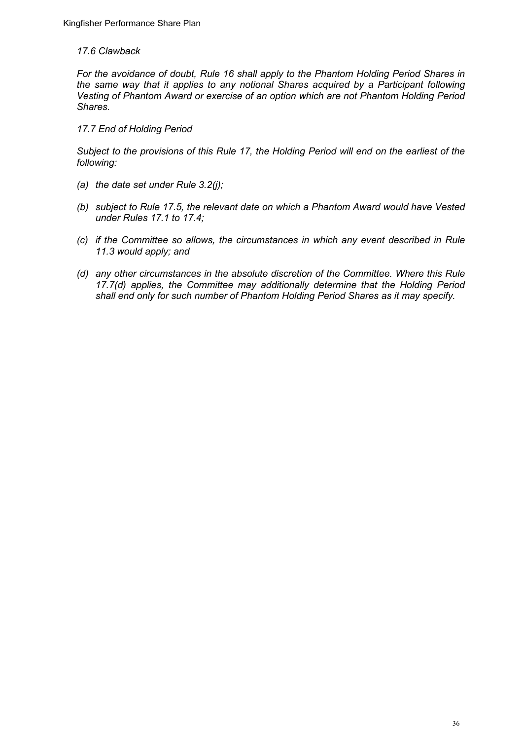#### *17.6 Clawback*

*For the avoidance of doubt, Rule 16 shall apply to the Phantom Holding Period Shares in the same way that it applies to any notional Shares acquired by a Participant following Vesting of Phantom Award or exercise of an option which are not Phantom Holding Period Shares.*

#### *17.7 End of Holding Period*

*Subject to the provisions of this Rule 17, the Holding Period will end on the earliest of the following:* 

- *(a) the date set under Rule 3.2(j);*
- *(b) subject to Rule 17.5, the relevant date on which a Phantom Award would have Vested under Rules 17.1 to 17.4;*
- *(c) if the Committee so allows, the circumstances in which any event described in Rule 11.3 would apply; and*
- *(d) any other circumstances in the absolute discretion of the Committee. Where this Rule 17.7(d) applies, the Committee may additionally determine that the Holding Period shall end only for such number of Phantom Holding Period Shares as it may specify.*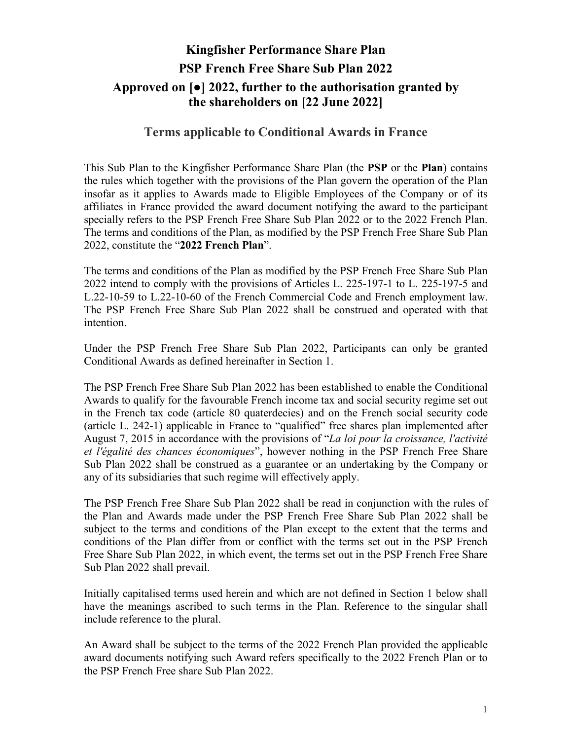## **Kingfisher Performance Share Plan PSP French Free Share Sub Plan 2022 Approved on [●] 2022, further to the authorisation granted by the shareholders on [22 June 2022]**

## **Terms applicable to Conditional Awards in France**

This Sub Plan to the Kingfisher Performance Share Plan (the **PSP** or the **Plan**) contains the rules which together with the provisions of the Plan govern the operation of the Plan insofar as it applies to Awards made to Eligible Employees of the Company or of its affiliates in France provided the award document notifying the award to the participant specially refers to the PSP French Free Share Sub Plan 2022 or to the 2022 French Plan. The terms and conditions of the Plan, as modified by the PSP French Free Share Sub Plan 2022, constitute the "**2022 French Plan**".

The terms and conditions of the Plan as modified by the PSP French Free Share Sub Plan 2022 intend to comply with the provisions of Articles L. 225-197-1 to L. 225-197-5 and L.22-10-59 to L.22-10-60 of the French Commercial Code and French employment law. The PSP French Free Share Sub Plan 2022 shall be construed and operated with that intention.

Under the PSP French Free Share Sub Plan 2022, Participants can only be granted Conditional Awards as defined hereinafter in Section 1.

The PSP French Free Share Sub Plan 2022 has been established to enable the Conditional Awards to qualify for the favourable French income tax and social security regime set out in the French tax code (article 80 quaterdecies) and on the French social security code (article L. 242-1) applicable in France to "qualified" free shares plan implemented after August 7, 2015 in accordance with the provisions of "*La loi pour la croissance, l'activité et l'égalité des chances économiques*", however nothing in the PSP French Free Share Sub Plan 2022 shall be construed as a guarantee or an undertaking by the Company or any of its subsidiaries that such regime will effectively apply.

The PSP French Free Share Sub Plan 2022 shall be read in conjunction with the rules of the Plan and Awards made under the PSP French Free Share Sub Plan 2022 shall be subject to the terms and conditions of the Plan except to the extent that the terms and conditions of the Plan differ from or conflict with the terms set out in the PSP French Free Share Sub Plan 2022, in which event, the terms set out in the PSP French Free Share Sub Plan 2022 shall prevail.

Initially capitalised terms used herein and which are not defined in Section 1 below shall have the meanings ascribed to such terms in the Plan. Reference to the singular shall include reference to the plural.

An Award shall be subject to the terms of the 2022 French Plan provided the applicable award documents notifying such Award refers specifically to the 2022 French Plan or to the PSP French Free share Sub Plan 2022.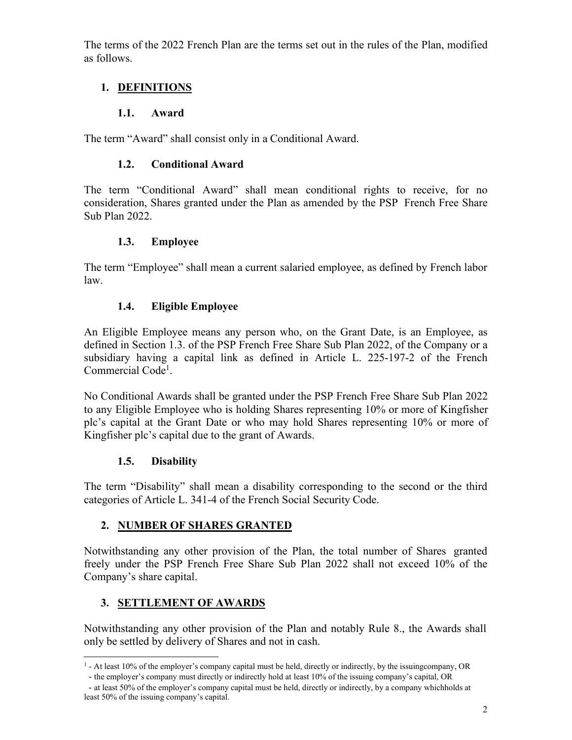The terms of the 2022 French Plan are the terms set out in the rules of the Plan, modified as follows.

## **1. DEFINITIONS**

## **1.1. Award**

The term "Award" shall consist only in a Conditional Award.

## **1.2. Conditional Award**

The term "Conditional Award" shall mean conditional rights to receive, for no consideration, Shares granted under the Plan as amended by the PSP French Free Share Sub Plan 2022.

## **1.3. Employee**

The term "Employee" shall mean a current salaried employee, as defined by French labor law.

## **1.4. Eligible Employee**

An Eligible Employee means any person who, on the Grant Date, is an Employee, as defined in Section 1.3. of the PSP French Free Share Sub Plan 2022, of the Company or a subsidiary having a capital link as defined in Article L. 225-197-2 of the French Commercial Code<sup>1</sup>.

No Conditional Awards shall be granted under the PSP French Free Share Sub Plan 2022 to any Eligible Employee who is holding Shares representing 10% or more of Kingfisher plc's capital at the Grant Date or who may hold Shares representing 10% or more of Kingfisher plc's capital due to the grant of Awards.

## **1.5. Disability**

The term "Disability" shall mean a disability corresponding to the second or the third categories of Article L. 341-4 of the French Social Security Code.

## **2. NUMBER OF SHARES GRANTED**

Notwithstanding any other provision of the Plan, the total number of Shares granted freely under the PSP French Free Share Sub Plan 2022 shall not exceed 10% of the Company's share capital.

## **3. SETTLEMENT OF AWARDS**

Notwithstanding any other provision of the Plan and notably Rule 8., the Awards shall only be settled by delivery of Shares and not in cash.

<sup>&</sup>lt;sup>1</sup> - At least 10% of the employer's company capital must be held, directly or indirectly, by the issuingcompany, OR

<sup>-</sup> the employer's company must directly or indirectly hold at least 10% of the issuing company's capital, OR

<sup>-</sup> at least 50% of the employer's company capital must be held, directly or indirectly, by a company whichholds at least 50% of the issuing company's capital.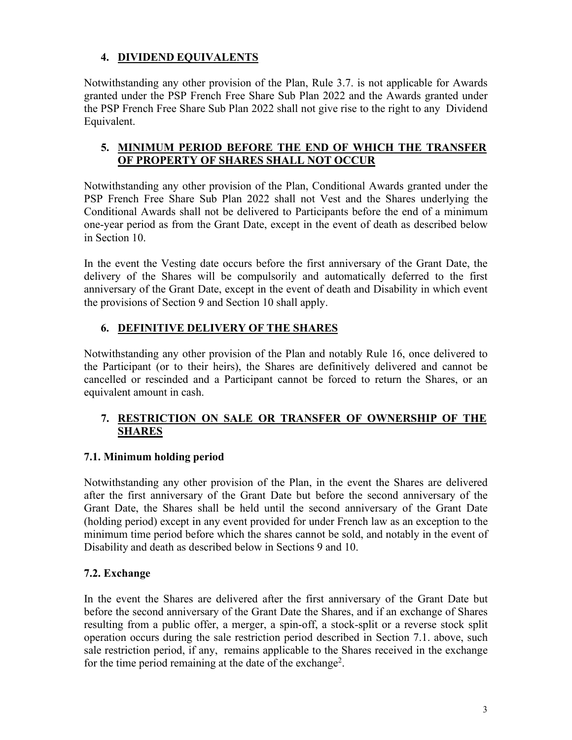## **4. DIVIDEND EQUIVALENTS**

Notwithstanding any other provision of the Plan, Rule 3.7. is not applicable for Awards granted under the PSP French Free Share Sub Plan 2022 and the Awards granted under the PSP French Free Share Sub Plan 2022 shall not give rise to the right to any Dividend Equivalent.

## **5. MINIMUM PERIOD BEFORE THE END OF WHICH THE TRANSFER OF PROPERTY OF SHARES SHALL NOT OCCUR**

Notwithstanding any other provision of the Plan, Conditional Awards granted under the PSP French Free Share Sub Plan 2022 shall not Vest and the Shares underlying the Conditional Awards shall not be delivered to Participants before the end of a minimum one-year period as from the Grant Date, except in the event of death as described below in Section 10.

In the event the Vesting date occurs before the first anniversary of the Grant Date, the delivery of the Shares will be compulsorily and automatically deferred to the first anniversary of the Grant Date, except in the event of death and Disability in which event the provisions of Section 9 and Section 10 shall apply.

## **6. DEFINITIVE DELIVERY OF THE SHARES**

Notwithstanding any other provision of the Plan and notably Rule 16, once delivered to the Participant (or to their heirs), the Shares are definitively delivered and cannot be cancelled or rescinded and a Participant cannot be forced to return the Shares, or an equivalent amount in cash.

## **7. RESTRICTION ON SALE OR TRANSFER OF OWNERSHIP OF THE SHARES**

## **7.1. Minimum holding period**

Notwithstanding any other provision of the Plan, in the event the Shares are delivered after the first anniversary of the Grant Date but before the second anniversary of the Grant Date, the Shares shall be held until the second anniversary of the Grant Date (holding period) except in any event provided for under French law as an exception to the minimum time period before which the shares cannot be sold, and notably in the event of Disability and death as described below in Sections 9 and 10.

## **7.2. Exchange**

In the event the Shares are delivered after the first anniversary of the Grant Date but before the second anniversary of the Grant Date the Shares, and if an exchange of Shares resulting from a public offer, a merger, a spin-off, a stock-split or a reverse stock split operation occurs during the sale restriction period described in Section 7.1. above, such sale restriction period, if any, remains applicable to the Shares received in the exchange for the time period remaining at the date of the exchange<sup>2</sup>.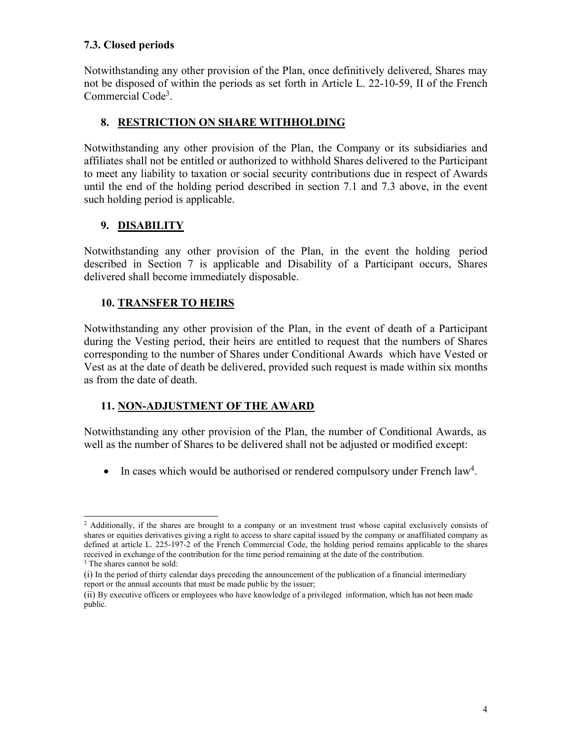## **7.3. Closed periods**

Notwithstanding any other provision of the Plan, once definitively delivered, Shares may not be disposed of within the periods as set forth in Article L. 22-10-59, II of the French Commercial Code<sup>3</sup>.

## **8. RESTRICTION ON SHARE WITHHOLDING**

Notwithstanding any other provision of the Plan, the Company or its subsidiaries and affiliates shall not be entitled or authorized to withhold Shares delivered to the Participant to meet any liability to taxation or social security contributions due in respect of Awards until the end of the holding period described in section 7.1 and 7.3 above, in the event such holding period is applicable.

## **9. DISABILITY**

Notwithstanding any other provision of the Plan, in the event the holding period described in Section 7 is applicable and Disability of a Participant occurs, Shares delivered shall become immediately disposable.

## **10. TRANSFER TO HEIRS**

Notwithstanding any other provision of the Plan, in the event of death of a Participant during the Vesting period, their heirs are entitled to request that the numbers of Shares corresponding to the number of Shares under Conditional Awards which have Vested or Vest as at the date of death be delivered, provided such request is made within six months as from the date of death.

## **11. NON-ADJUSTMENT OF THE AWARD**

Notwithstanding any other provision of the Plan, the number of Conditional Awards, as well as the number of Shares to be delivered shall not be adjusted or modified except:

 $\bullet$  In cases which would be authorised or rendered compulsory under French law<sup>4</sup>.

<sup>3</sup> The shares cannot be sold:

<sup>&</sup>lt;sup>2</sup> Additionally, if the shares are brought to a company or an investment trust whose capital exclusively consists of shares or equities derivatives giving a right to access to share capital issued by the company or anaffiliated company as defined at article L. 225-197-2 of the French Commercial Code, the holding period remains applicable to the shares received in exchange of the contribution for the time period remaining at the date of the contribution.

<sup>(</sup>i) In the period of thirty calendar days preceding the announcement of the publication of a financial intermediary report or the annual accounts that must be made public by the issuer;

<sup>(</sup>ii) By executive officers or employees who have knowledge of a privileged information, which has not been made public.